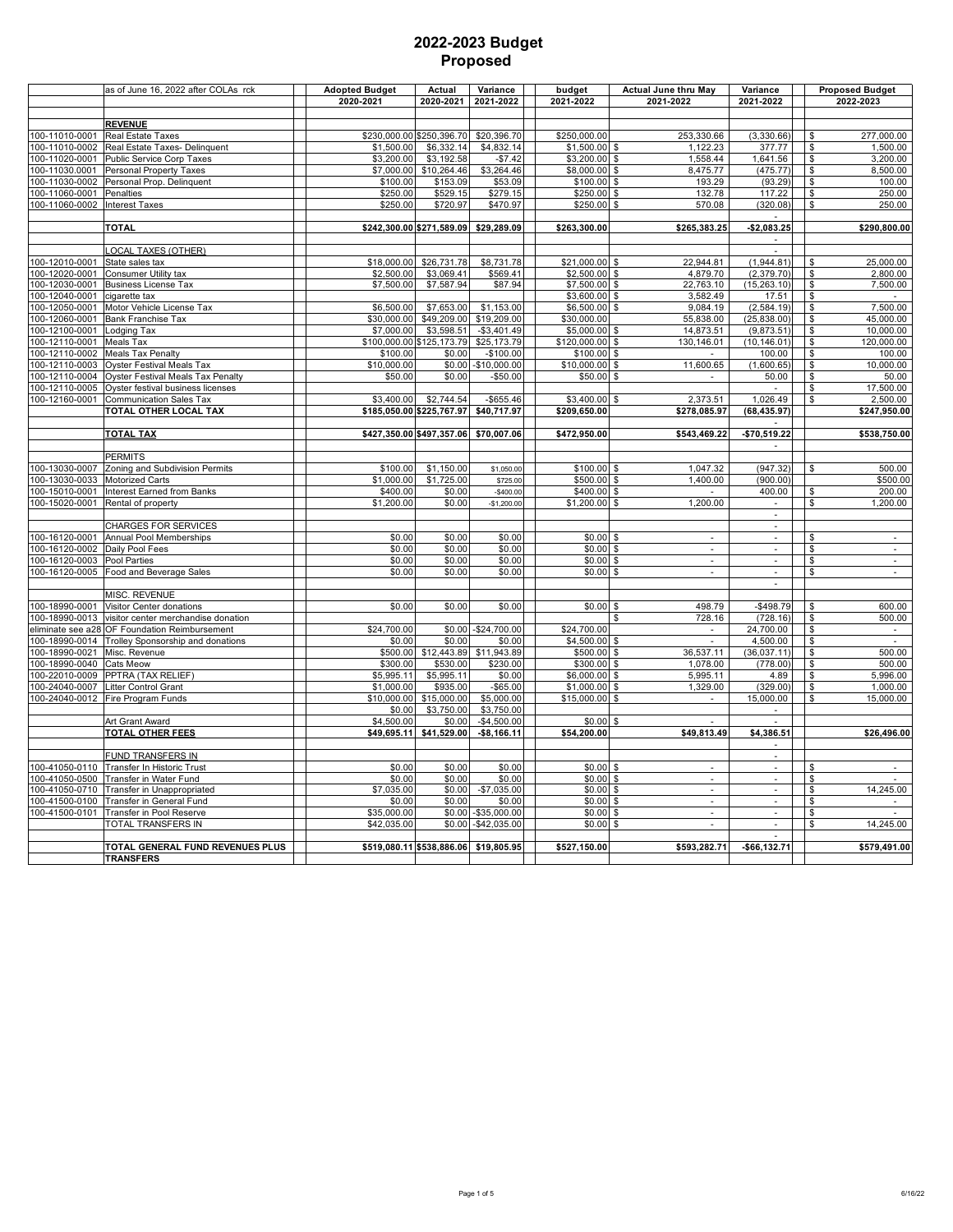|                                  | as of June 16, 2022 after COLAs rck                             | <b>Adopted Budget</b> | Actual                                | Variance                   | budget                          | <b>Actual June thru May</b>        | Variance                              |                          | <b>Proposed Budget</b>      |
|----------------------------------|-----------------------------------------------------------------|-----------------------|---------------------------------------|----------------------------|---------------------------------|------------------------------------|---------------------------------------|--------------------------|-----------------------------|
|                                  |                                                                 | 2020-2021             | 2020-2021                             | 2021-2022                  | 2021-2022                       | 2021-2022                          | 2021-2022                             |                          | 2022-2023                   |
|                                  |                                                                 |                       |                                       |                            |                                 |                                    |                                       |                          |                             |
| 100-11010-0001                   | <b>REVENUE</b><br>Real Estate Taxes                             |                       | \$230,000.00 \$250,396.70             | \$20,396.70                | \$250,000.00                    | 253,330.66                         | (3,330.66)                            | \$                       | 277,000.00                  |
| 100-11010-0002                   | Real Estate Taxes- Delinquent                                   | \$1,500.00            | \$6,332.14                            | \$4,832.14                 | $$1,500.00$ \$                  | 1,122.23                           | 377.77                                | \$                       | 1,500.00                    |
| 100-11020-0001                   | Public Service Corp Taxes                                       | \$3,200.00            | \$3,192.58                            | $-$7.42$                   | \$3,200.00 \$                   | 1,558.44                           | 1,641.56                              | \$                       | 3,200.00                    |
| 100-11030.0001                   | Personal Property Taxes                                         | \$7,000.00            | \$10,264.46                           | \$3,264.46                 | \$8,000.00 \$                   | 8,475.77                           | (475.77)                              | \$                       | 8.500.00                    |
| 100-11030-0002                   | Personal Prop. Delinquent                                       | \$100.00              | \$153.09                              | \$53.09                    | \$100.00 \$                     | 193.29                             | (93.29)                               | \$                       | 100.00                      |
| 100-11060-0001                   | Penalties                                                       | \$250.00              | \$529.15                              | \$279.15                   | $$250.00$ \$                    | 132.78                             | 117.22                                | \$                       | 250.00                      |
| 100-11060-0002                   | <b>Interest Taxes</b>                                           | \$250.00              | \$720.97                              | \$470.97                   | \$250.00 \$                     | 570.08                             | (320.08)                              | \$                       | 250.00                      |
|                                  | <b>TOTAL</b>                                                    |                       | \$242,300.00 \$271,589.09 \$29,289.09 |                            | \$263,300.00                    | \$265,383.25                       | $-$2,083.25$                          |                          | \$290,800.00                |
|                                  |                                                                 |                       |                                       |                            |                                 |                                    |                                       |                          |                             |
|                                  | <b>LOCAL TAXES (OTHER)</b>                                      |                       |                                       |                            |                                 |                                    | $\sim$                                |                          |                             |
| 100-12010-0001                   | State sales tax                                                 | \$18,000.00           | \$26,731.78                           | \$8,731.78                 | \$21,000.00 \$                  | 22.944.81                          | (1,944.81)                            | \$                       | 25.000.00                   |
| 100-12020-0001                   | Consumer Utility tax                                            | \$2,500.00            | \$3,069.41                            | \$569.41                   | \$2,500.00 \$                   | 4,879.70                           | (2,379.70)                            | \$                       | 2,800.00                    |
| 100-12030-0001                   | <b>Business License Tax</b>                                     | \$7,500.00            | \$7,587.94                            | \$87.94                    | \$7,500.00 \$                   | 22,763.10                          | (15, 263.10)                          | \$                       | 7,500.00                    |
| 100-12040-0001<br>100-12050-0001 | cigarette tax                                                   | \$6,500.00            | \$7,653.00                            | \$1,153.00                 | \$3,600.00 \$<br>$$6,500.00$ \$ | 3,582.49<br>9,084.19               | 17.51<br>(2, 584.19)                  | \$<br>$\sqrt{2}$         | 7,500.00                    |
| 100-12060-0001                   | Motor Vehicle License Tax<br>Bank Franchise Tax                 | \$30,000.00           | \$49,209.00                           | \$19,209.00                | \$30,000.00                     | 55,838.00                          | (25, 838.00)                          | \$                       | 45,000.00                   |
| 100-12100-0001                   | Lodging Tax                                                     | \$7,000.00            | \$3,598.51                            | $-$3,401.49$               | \$5,000.00 \$                   | 14,873.51                          | (9,873.51)                            | \$                       | 10,000.00                   |
| 100-12110-0001                   | Meals Tax                                                       |                       | \$100,000.00 \$125,173.79             | \$25,173.79                | $$120,000.00$ \$                | 130,146.01                         | (10, 146.01)                          | $\overline{\mathcal{S}}$ | 120,000.00                  |
| 100-12110-0002                   | <b>Meals Tax Penalty</b>                                        | \$100.00              | \$0.00                                | $-$100.00$                 | \$100.00 \$                     |                                    | 100.00                                | $\overline{\mathbf{s}}$  | 100.00                      |
| 100-12110-0003                   | Oyster Festival Meals Tax                                       | \$10,000.00           | \$0.00                                | $-$10,000.00$              | \$10,000.00 \$                  | 11,600.65                          | (1,600.65)                            | $\sqrt{3}$               | 10,000.00                   |
| 100-12110-0004                   | Oyster Festival Meals Tax Penalty                               | \$50.00               | \$0.00                                | $-$50.00$                  | $$50.00$ \$                     | $\sim$                             | 50.00                                 | \$                       | 50.00                       |
| 100-12110-0005                   | Oyster festival business licenses                               |                       |                                       |                            |                                 |                                    |                                       | \$                       | 17,500.00                   |
| 100-12160-0001                   | Communication Sales Tax                                         | \$3,400.00            | \$2,744.54                            | $-$ \$655.46               | \$3,400.00                      | 2,373.51                           | 1,026.49                              | \$                       | 2,500.00                    |
|                                  | TOTAL OTHER LOCAL TAX                                           |                       | \$185,050.00 \$225,767.97             | \$40,717.97                | \$209,650.00                    | \$278,085.97                       | (68, 435.97)                          |                          | \$247,950.00                |
|                                  | <b>ΤΟΤΑL ΤΑΧ</b>                                                |                       | \$427,350.00 \$497,357.06 \$70,007.06 |                            | \$472,950.00                    | \$543,469.22                       | -\$70,519.22                          |                          | \$538,750.00                |
|                                  |                                                                 |                       |                                       |                            |                                 |                                    |                                       |                          |                             |
|                                  | <b>PERMITS</b>                                                  |                       |                                       |                            |                                 |                                    |                                       |                          |                             |
| 100-13030-0007                   | Zoning and Subdivision Permits                                  | \$100.00              | \$1,150.00                            | \$1,050.00                 | $$100.00$ \$                    | 1,047.32                           | (947.32)                              | \$                       | 500.00                      |
| 100-13030-0033                   | <b>Motorized Carts</b>                                          | \$1,000.00            | \$1,725.00                            | \$725.00                   | \$500.00 \$                     | 1,400.00                           | (900.00)                              |                          | \$500.00                    |
| 100-15010-0001                   | Interest Earned from Banks                                      | \$400.00              | \$0.00                                | $-$400.00$                 | \$400.00 \$                     |                                    | 400.00                                | \$<br>\$                 | 200.00                      |
| 100-15020-0001                   | Rental of property                                              | \$1,200.00            | \$0.00                                | $-$1,200.00$               | $$1,200.00$ \$                  | 1,200.00                           | $\sim$<br>$\mathcal{L}_{\mathcal{A}}$ |                          | 1,200.00                    |
|                                  | CHARGES FOR SERVICES                                            |                       |                                       |                            |                                 |                                    | ÷.                                    |                          |                             |
| 100-16120-0001                   | Annual Pool Memberships                                         | \$0.00                | \$0.00                                | \$0.00                     | $$0.00$ \$                      | $\sim$                             | $\sim$                                | \$                       | $\sim$                      |
| 100-16120-0002                   | Daily Pool Fees                                                 | \$0.00                | \$0.00                                | \$0.00                     | $$0.00$ \$                      | $\overline{\phantom{a}}$           |                                       | \$                       | $\sim$                      |
| 100-16120-0003                   | Pool Parties                                                    | \$0.00                | \$0.00                                | \$0.00                     | $$0.00$ \$                      | $\sim$                             | $\sim$                                | $\mathfrak{s}$           | $\mathcal{L}_{\mathcal{A}}$ |
| 100-16120-0005                   | Food and Beverage Sales                                         | \$0.00                | \$0.00                                | \$0.00                     | $$0.00$ \$                      | $\sim$                             | $\sim$                                | \$                       | $\sim$                      |
|                                  |                                                                 |                       |                                       |                            |                                 |                                    | $\sim$                                |                          |                             |
| 100-18990-0001                   | MISC. REVENUE                                                   | \$0.00                | \$0.00                                | \$0.00                     | $$0.00$ \$                      | 498.79                             | $-$498.79$                            |                          | 600.00                      |
| 100-18990-0013                   | Visitor Center donations<br>visitor center merchandise donation |                       |                                       |                            |                                 | 728.16                             | (728.16)                              | \$<br>\$                 | 500.00                      |
|                                  | eliminate see a28 OF Foundation Reimbursement                   | \$24,700.00           | \$0.00                                | $-$24,700.00$              | \$24,700.00                     | $\sim$                             | 24,700.00                             | \$                       | $\sim$                      |
| 100-18990-0014                   | Trolley Sponsorship and donations                               | \$0.00                | \$0.00                                | \$0.00                     | \$4,500.00 \$                   |                                    | 4,500.00                              | \$                       | $\sim$                      |
| 100-18990-0021                   | Misc. Revenue                                                   | \$500.00              | \$12,443.89                           | \$11,943.89                | \$500.00                        | 36,537.11                          | (36, 037.11)                          | \$                       | 500.00                      |
| 100-18990-0040                   | Cats Meow                                                       | \$300.00              | \$530.00                              | \$230.00                   | \$300.00 \$                     | 1,078.00                           | (778.00)                              | $\mathfrak s$            | 500.00                      |
| 100-22010-0009                   | PPTRA (TAX RELIEF)                                              | \$5,995.11            | \$5,995.11                            | \$0.00                     | \$6,000.00 \$                   | 5,995.11                           | 4.89                                  | \$                       | 5,996.00                    |
| 100-24040-0007                   | <b>Litter Control Grant</b>                                     | \$1,000.00            | \$935.00                              | $-$65.00$                  | \$1,000.00 \$                   | 1,329.00                           | (329.00)                              | \$                       | 1,000.00                    |
| 100-24040-0012                   | Fire Program Funds                                              | \$10,000.00           | \$15,000.00                           | \$5,000.00                 | \$15,000.00 \$                  | $\sim$                             | 15.000.00<br>$\mathbf{r}$             | \$                       | 15.000.00                   |
|                                  | Art Grant Award                                                 | \$0.00<br>\$4,500.00  | \$3,750.00<br>\$0.00                  | \$3,750.00<br>$-$4,500.00$ | \$0.00                          |                                    |                                       |                          |                             |
|                                  | <b>TOTAL OTHER FEES</b>                                         | \$49,695.11           | \$41,529.00                           | $-$8,166.11$               | \$54,200.00                     | \$49,813.49                        | \$4,386.51                            |                          | \$26,496.00                 |
|                                  |                                                                 |                       |                                       |                            |                                 |                                    |                                       |                          |                             |
|                                  | <b>FUND TRANSFERS IN</b>                                        |                       |                                       |                            |                                 |                                    | $\sim$                                |                          |                             |
| 100-41050-0110                   | Transfer In Historic Trust                                      | \$0.00                | \$0.00                                | \$0.00                     | $$0.00$ \$                      | ÷.                                 | $\mathcal{L}$                         | \$                       |                             |
| 100-41050-0500                   | Transfer in Water Fund                                          | \$0.00                | \$0.00                                | \$0.00                     | $$0.00$ \$                      | ÷                                  | ÷.                                    | $\sqrt{2}$               |                             |
| 100-41050-0710                   | Transfer in Unappropriated                                      | \$7,035.00            | \$0.00                                | $-$7,035.00$               | $$0.00$ \$                      | $\blacksquare$                     |                                       | $\mathfrak s$            | 14,245.00                   |
| 100-41500-0100<br>100-41500-0101 | Transfer in General Fund                                        | \$0.00<br>\$35,000.00 | \$0.00<br>\$0.00                      | \$0.00<br>$-$35,000.00$    | $$0.00$ \$                      | $\overline{\phantom{a}}$<br>$\sim$ | $\sim$                                | \$<br>\$                 |                             |
|                                  | Transfer in Pool Reserve<br>TOTAL TRANSFERS IN                  | \$42,035.00           | \$0.00                                | -\$42,035.00               | $$0.00$ \$<br>$$0.00$ \$        | $\sim$                             | $\sim$                                | \$                       | 14,245.00                   |
|                                  |                                                                 |                       |                                       |                            |                                 |                                    |                                       |                          |                             |
|                                  | TOTAL GENERAL FUND REVENUES PLUS                                |                       | \$519,080.11 \$538,886.06 \$19,805.95 |                            | \$527,150.00                    | \$593,282.71                       | $-$66,132.71$                         |                          | \$579,491.00                |
|                                  | <b>TRANSFERS</b>                                                |                       |                                       |                            |                                 |                                    |                                       |                          |                             |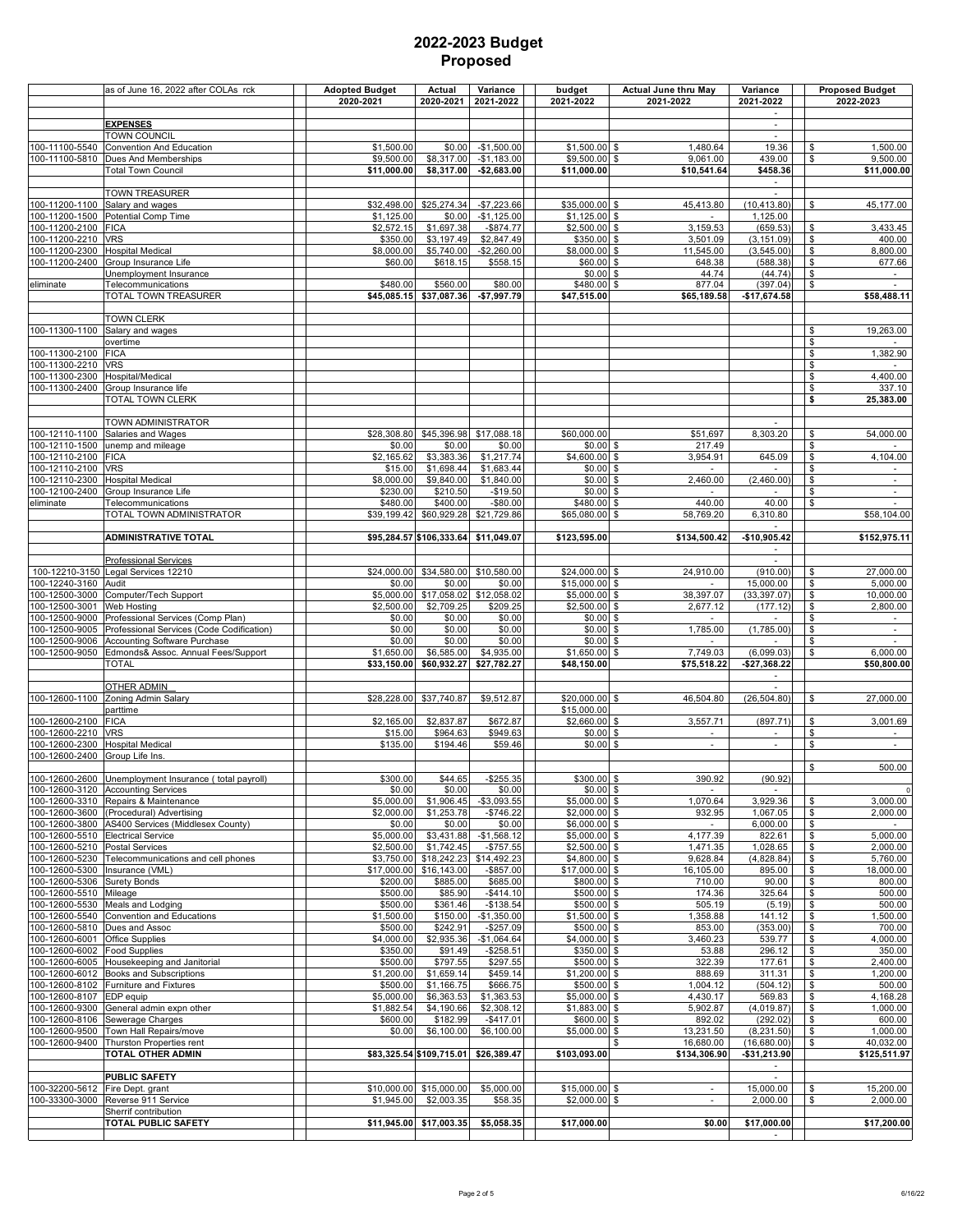| $\overline{\phantom{a}}$<br><b>EXPENSES</b><br>$\sim$<br><b>TOWN COUNCIL</b><br>19.36<br>100-11100-5540<br>Convention And Education<br>\$1,500.00<br>\$0.00<br>$-$1,500.00$<br>$$1,500.00$ \$<br>1,480.64<br>\$<br>1,500.00<br>\$9,500.00<br>\$8,317.00<br>$-$1,183.00$<br>\$9,500.00 \$<br>9,061.00<br>9,500.00<br>100-11100-5810<br>Dues And Memberships<br>439.00<br>\$<br>$-$2,683.00$<br><b>Total Town Council</b><br>\$11,000.00<br>\$8,317.00<br>\$11,000.00<br>\$10,541.64<br>\$458.36<br>$\overline{\phantom{a}}$<br>TOWN TREASURER<br>$\sim$<br>$-$7,223.66$<br>100-11200-1100<br>Salary and wages<br>\$32,498.00<br>\$25,274.34<br>\$35,000.00 \$<br>45,413.80<br>(10, 413.80)<br>45,177.00<br>\$<br>$$1,125.00$ \$<br>100-11200-1500<br>Potential Comp Time<br>\$1,125.00<br>\$0.00<br>$-$1,125.00$<br>1,125.00<br>3,433.45<br>100-11200-2100<br>\$2,572.15<br>\$1,697.38<br>$-$ \$874.77<br>$$2,500.00$ \$<br>3,159.53<br>(659.53)<br><b>FICA</b><br>\$<br>100-11200-2210<br><b>VRS</b><br>\$3,197.49<br>\$2,847.49<br>\$350.00 \$<br>(3, 151.09)<br>\$<br>400.00<br>\$350.00<br>3,501.09<br>100-11200-2300<br><b>Hospital Medical</b><br>\$5,740.00<br>$-$2,260.00$<br>\$8,000.00 \$<br>(3,545.00)<br>\$<br>8,800.00<br>\$8,000.00<br>11,545.00<br>\$60.00 \$<br>100-11200-2400<br>Group Insurance Life<br>\$60.00<br>\$618.15<br>\$558.15<br>648.38<br>(588.38)<br>\$<br>677.66<br>$$0.00$ \$<br>44.74<br>(44.74)<br>\$<br>Jnemployment Insurance<br>\$560.00<br>\$480.00<br>877.04<br>(397.04)<br>\$<br>eliminate<br>Telecommunications<br>\$480.00<br>\$80.00<br><b>S</b><br>\$45,085.15 \$37,087.36<br>\$58,488.11<br>TOTAL TOWN TREASURER<br>$-$7,997.79$<br>\$47,515.00<br>\$65,189.58<br>-\$17,674.58<br>TOWN CLERK<br>100-11300-1100<br>19,263.00<br>Salary and wages<br>\$<br>$\mathfrak s$<br>overtime<br>1,382.90<br>100-11300-2100<br><b>FICA</b><br>\$<br>\$<br>100-11300-2210<br><b>VRS</b><br>4,400.00<br>100-11300-2300<br>Hospital/Medical<br>\$<br>\$<br>100-11300-2400<br>Group Insurance life<br>337.10<br><b>TOTAL TOWN CLERK</b><br>\$<br>25,383.00<br>TOWN ADMINISTRATOR<br>$\sim$<br>8,303.20<br>\$<br>100-12110-1100<br>Salaries and Wages<br>\$28,308.80<br>\$45,396.98<br>\$17,088.18<br>\$60,000.00<br>\$51,697<br>54,000.00<br>\$<br>unemp and mileage<br>\$0.00<br>\$0.00<br>$$0.00$ \$<br>217.49<br>\$0.00<br>100-12110-2100<br>\$2,165.62<br>\$3,383.36<br>\$1,217.74<br>\$4,600.00<br>\$<br>3,954.91<br>645.09<br>\$<br>4,104.00<br><b>FICA</b><br>\$1,683.44<br>100-12110-2100<br><b>VRS</b><br>\$1,698.44<br>$$0.00$ \$<br>\$<br>\$15.00<br>$\sim$<br>\$1,840.00<br>\$<br>100-12110-2300<br><b>Hospital Medical</b><br>\$8,000.00<br>\$9,840.00<br>\$0.00<br>\$<br>2,460.00<br>(2,460.00)<br>$\blacksquare$<br>$\overline{\mathbf{S}}$<br>100-12100-2400<br>Group Insurance Life<br>\$230.00<br>\$210.50<br>$-$19.50$<br>$$0.00$ \$<br>$\sim$<br>$\overline{\phantom{a}}$<br>\$480.00<br>\$400.00<br>$-$80.00$<br>\$480.00 \$<br>440.00<br>40.00<br>\$<br>Telecommunications<br>\$60,929.28 \$21,729.86<br>\$65,080.00 \$<br>TOTAL TOWN ADMINISTRATOR<br>\$39,199.42<br>58,769.20<br>6,310.80<br>\$58,104.00<br><b>ADMINISTRATIVE TOTAL</b><br>\$95,284.57 \$106,333.64 \$11,049.07<br>\$123,595.00<br>$-$10,905.42$<br>\$152,975.11<br>\$134,500.42<br><b>Professional Services</b><br>\$34,580.00 \$10,580.00<br>\$24,000.00 \$<br>Legal Services 12210<br>\$24,000.00<br>24,910.00<br>(910.00)<br>27,000.00<br>100-12210-3150<br>\$<br>100-12240-3160<br>\$0.00<br>\$0.00<br>$$15,000.00$ \$<br>\$<br>Audit<br>\$0.00<br>15,000.00<br>5,000.00<br>Computer/Tech Support<br>\$17,058.02<br>\$12,058.02<br>\$5,000.00 \$<br>38,397.07<br>\$<br>100-12500-3000<br>\$5,000.00<br>(33, 397.07)<br>10,000.00<br>100-12500-3001<br>Web Hosting<br>\$2,500.00<br>\$2,709.25<br>\$209.25<br>\$2,500.00<br>\$<br>2,677.12<br>(177.12)<br>\$<br>2,800.00<br>100-12500-9000<br>Professional Services (Comp Plan)<br>\$0.00<br>\$0.00<br>\$0.00<br>$$0.00$ \$<br>\$<br>$\sim$<br>1,785.00<br>$\mathfrak s$<br>100-12500-9005<br>Professional Services (Code Codification)<br>\$0.00<br>\$0.00<br>\$0.00<br>\$0.00<br><b>S</b><br>(1,785.00)<br>\$<br>100-12500-9006<br>Accounting Software Purchase<br>\$0.00<br>\$0.00<br>\$0.00<br>$$0.00$ \$<br>$\sim$<br>\$6,585.00<br>7,749.03<br>Edmonds& Assoc. Annual Fees/Support<br>\$1,650.00<br>\$4,935.00<br>\$1,650.00<br>(6,099.03)<br>\$<br>6,000.00<br>-S<br><b>TOTAL</b><br>\$33,150.00 \$60,932.27 \$27,782.27<br>\$48,150.00<br>\$75,518.22<br>\$27,368.22<br>\$50,800.00<br>$\overline{\phantom{a}}$<br><b>OTHER ADMIN</b><br>\$28,228.00 \$37,740.87<br>\$9,512.87<br>(26, 504.80)<br>Zoning Admin Salary<br>\$20,000.00 \$<br>46,504.80<br>\$<br>27,000.00<br>\$15,000.00<br>parttime<br>\$2,660.00 \$<br>100-12600-2100<br><b>FICA</b><br>\$2,165.00<br>\$2,837.87<br>\$672.87<br>3,557.71<br>(897.71)<br>\$<br>3,001.69<br>\$949.63<br>\$0.00S<br>\$<br>100-12600-2210<br><b>VRS</b><br>\$15.00<br>\$964.63<br>Ξ<br><b>Hospital Medical</b><br>\$135.00<br>\$194.46<br>\$59.46<br>$$0.00$ \$<br>$\mathcal{L}_{\mathcal{A}}$<br>\$<br>$\sim$<br>100-12600-2400<br>Group Life Ins.<br>\$<br>500.00<br>100-12600-2600 Unemployment Insurance (total payroll)<br>\$300.00<br>\$44.65<br>$-$255.35$<br>\$300.00 \$<br>390.92<br>(90.92)<br>100-12600-3120 Accounting Services<br>\$0.00<br>$$0.00$ \$<br>\$0.00<br>\$0.00<br>$\sim$<br>3,000.00<br>100-12600-3310<br>\$5,000.00<br>\$1,906.45<br>$-$3,093.55$<br>\$5,000.00 \$<br>1,070.64<br>3,929.36<br>Repairs & Maintenance<br>\$<br>100-12600-3600<br>\$2,000.00<br>\$1,253.78<br>$-$746.22$<br>$$2,000.00$ \$<br>932.95<br>1,067.05<br>\$<br>(Procedural) Advertising<br>2,000.00<br>100-12600-3800<br>\$0.00<br>\$0.00<br>\$6,000.00 \$<br>\$<br>AS400 Services (Middlesex County)<br>\$0.00<br>6,000.00<br>$\sim$<br>4,177.39<br>5,000.00<br>100-12600-5510 Electrical Service<br>\$5,000.00<br>\$3,431.88<br>$-$1,568.12$<br>$$5,000.00$ \$<br>822.61<br>\$<br>100-12600-5210<br>\$2,500.00<br>\$1,742.45<br>$-$757.55$<br>\$2,500.00 \$<br>1,471.35<br>1,028.65<br>2,000.00<br><b>Postal Services</b><br>\$<br>100-12600-5230<br>Telecommunications and cell phones<br>\$18,242.23<br>\$14,492.23<br>\$4,800.00 \$<br>9,628.84<br>\$<br>5,760.00<br>\$3,750.00<br>(4,828.84)<br>100-12600-5300<br>Insurance (VML)<br>\$17,000.00<br>\$16,143.00<br>$-$ \$857.00<br>\$17,000.00 \$<br>16,105.00<br>\$<br>18,000.00<br>895.00<br>\$<br>Surety Bonds<br>\$200.00<br>\$885.00<br>\$685.00<br>\$800.00 \$<br>710.00<br>90.00<br>800.00<br>100-12600-5510 Mileage<br>$-$414.10$<br>\$500.00 \$<br>174.36<br>325.64<br>\$<br>500.00<br>\$500.00<br>\$85.90<br>100-12600-5530<br>\$500.00<br>\$361.46<br>$-$138.54$<br>\$500.00 \$<br>505.19<br>(5.19)<br>\$<br>500.00<br>Meals and Lodging<br>100-12600-5540<br>Convention and Educations<br>\$1,500.00<br>\$150.00<br>$-$1,350.00$<br>\$1,500.00 \$<br>1,358.88<br>141.12<br>\$<br>1,500.00<br>\$500.00<br>\$242.91<br>$-$257.09$<br>\$500.00 \$<br>853.00<br>(353.00)<br>\$<br>700.00<br>Dues and Assoc<br>100-12600-6001<br>\$4,000.00<br>\$2,935.36<br>$-$1,064.64$<br>$$4,000.00$ \$<br>3,460.23<br>539.77<br>\$<br>4,000.00<br><b>Office Supplies</b><br>100-12600-6002<br>\$350.00<br>\$91.49<br>$-$258.51$<br>\$350.00 \$<br>53.88<br>296.12<br>\$<br>350.00<br><b>Food Supplies</b><br>100-12600-6005<br>Housekeeping and Janitorial<br>\$500.00<br>\$797.55<br>\$297.55<br>\$500.00 \$<br>322.39<br>\$<br>177.61<br>2,400.00<br>\$1,200.00<br>\$1,659.14<br>\$459.14<br>$$1,200.00$ \$<br>311.31<br>\$<br>1,200.00<br>Books and Subscriptions<br>888.69<br>\$500.00<br>\$1,166.75<br>\$666.75<br>\$500.00 \$<br>1,004.12<br>(504.12)<br>\$<br>500.00<br>Furniture and Fixtures<br>\$<br>4,168.28<br>100-12600-8107<br>EDP equip<br>\$5,000.00<br>\$6,363.53<br>\$1,363.53<br>$$5,000.00$ \$<br>4,430.17<br>569.83<br>100-12600-9300<br>General admin expn other<br>\$1,882.54<br>\$4,190.66<br>\$2,308.12<br>\$1,883.00 \$<br>5,902.87<br>(4,019.87)<br>\$<br>1,000.00<br>\$182.99<br>$-$417.01$<br>\$600.00 \$<br>(292.02)<br>\$<br>600.00<br>Sewerage Charges<br>\$600.00<br>892.02<br>100-12600-9500<br>Town Hall Repairs/move<br>\$0.00<br>\$6,100.00<br>\$6,100.00<br>\$5,000.00 \$<br>13,231.50<br>(8, 231.50)<br>\$<br>1,000.00<br>100-12600-9400<br>Thurston Properties rent<br>\$<br>40,032.00<br>\$<br>16,680.00<br>(16,680.00)<br>TOTAL OTHER ADMIN<br>\$83,325.54 \$109,715.01 \$26,389.47<br>\$103,093.00<br>\$134,306.90<br>-\$31,213.90<br>\$125,511.97<br>$\sim$<br>PUBLIC SAFETY<br>$\sim$<br>100-32200-5612 Fire Dept. grant<br>\$10,000.00 \$15,000.00<br>\$5,000.00<br>\$15,000.00 \$<br>15,000.00<br>\$<br>15,200.00<br>$\sim$<br>$$2,000.00$ \$<br>100-33300-3000<br>Reverse 911 Service<br>\$1,945.00<br>\$2,003.35<br>\$58.35<br>2,000.00<br>\$<br>2,000.00<br>÷.<br>Sherrif contribution<br>\$11,945.00 \$17,003.35<br>\$5,058.35<br>TOTAL PUBLIC SAFETY<br>\$17,000.00<br>\$0.00<br>\$17,000.00<br>$\sim$ |                | as of June 16, 2022 after COLAs rck | <b>Adopted Budget</b><br>2020-2021 | Actual<br>2020-2021 | Variance<br>2021-2022 | budget<br>2021-2022 | <b>Actual June thru May</b><br>2021-2022 | Variance<br>2021-2022 |  | <b>Proposed Budget</b><br>2022-2023 |
|---------------------------------------------------------------------------------------------------------------------------------------------------------------------------------------------------------------------------------------------------------------------------------------------------------------------------------------------------------------------------------------------------------------------------------------------------------------------------------------------------------------------------------------------------------------------------------------------------------------------------------------------------------------------------------------------------------------------------------------------------------------------------------------------------------------------------------------------------------------------------------------------------------------------------------------------------------------------------------------------------------------------------------------------------------------------------------------------------------------------------------------------------------------------------------------------------------------------------------------------------------------------------------------------------------------------------------------------------------------------------------------------------------------------------------------------------------------------------------------------------------------------------------------------------------------------------------------------------------------------------------------------------------------------------------------------------------------------------------------------------------------------------------------------------------------------------------------------------------------------------------------------------------------------------------------------------------------------------------------------------------------------------------------------------------------------------------------------------------------------------------------------------------------------------------------------------------------------------------------------------------------------------------------------------------------------------------------------------------------------------------------------------------------------------------------------------------------------------------------------------------------------------------------------------------------------------------------------------------------------------------------------------------------------------------------------------------------------------------------------------------------------------------------------------------------------------------------------------------------------------------------------------------------------------------------------------------------------------------------------------------------------------------------------------------------------------------------------------------------------------------------------------------------------------------------------------------------------------------------------------------------------------------------------------------------------------------------------------------------------------------------------------------------------------------------------------------------------------------------------------------------------------------------------------------------------------------------------------------------------------------------------------------------------------------------------------------------------------------------------------------------------------------------------------------------------------------------------------------------------------------------------------------------------------------------------------------------------------------------------------------------------------------------------------------------------------------------------------------------------------------------------------------------------------------------------------------------------------------------------------------------------------------------------------------------------------------------------------------------------------------------------------------------------------------------------------------------------------------------------------------------------------------------------------------------------------------------------------------------------------------------------------------------------------------------------------------------------------------------------------------------------------------------------------------------------------------------------------------------------------------------------------------------------------------------------------------------------------------------------------------------------------------------------------------------------------------------------------------------------------------------------------------------------------------------------------------------------------------------------------------------------------------------------------------------------------------------------------------------------------------------------------------------------------------------------------------------------------------------------------------------------------------------------------------------------------------------------------------------------------------------------------------------------------------------------------------------------------------------------------------------------------------------------------------------------------------------------------------------------------------------------------------------------------------------------------------------------------------------------------------------------------------------------------------------------------------------------------------------------------------------------------------------------------------------------------------------------------------------------------------------------------------------------------------------------------------------------------------------------------------------------------------------------------------------------------------------------------------------------------------------------------------------------------------------------------------------------------------------------------------------------------------------------------------------------------------------------------------------------------------------------------------------------------------------------------------------------------------------------------------------------------------------------------------------------------------------------------------------------------------------------------------------------------------------------------------------------------------------------------------------------------------------------------------------------------------------------------------------------------------------------------------------------------------------------------------------------------------------------------------------------------------------------------------------------------------------------------------------------------------------------------------------------------------------------------------------------------------------------------------------------------------------------------------------------------------------------------------------------------------------------------------------------------------------------------------------------------------------------------------------------------------------------------------------------------------------------------------------------------------------------------------------------------------------------------------------------------------------------------------------------------------------------------------------------------------------------------------------------------------------------------------------------------------------------------------------------------------------------------------------------------------------------------------------------------------------------------------------------------------------------------------------------------------------------------------------------------------------------------------------------------------------------------------------------------------------------------------------------------------------------------------------------------------------------------------------------------------------------------------------------------------------------------------------------------------------------------------------------------------------------------------------------|----------------|-------------------------------------|------------------------------------|---------------------|-----------------------|---------------------|------------------------------------------|-----------------------|--|-------------------------------------|
|                                                                                                                                                                                                                                                                                                                                                                                                                                                                                                                                                                                                                                                                                                                                                                                                                                                                                                                                                                                                                                                                                                                                                                                                                                                                                                                                                                                                                                                                                                                                                                                                                                                                                                                                                                                                                                                                                                                                                                                                                                                                                                                                                                                                                                                                                                                                                                                                                                                                                                                                                                                                                                                                                                                                                                                                                                                                                                                                                                                                                                                                                                                                                                                                                                                                                                                                                                                                                                                                                                                                                                                                                                                                                                                                                                                                                                                                                                                                                                                                                                                                                                                                                                                                                                                                                                                                                                                                                                                                                                                                                                                                                                                                                                                                                                                                                                                                                                                                                                                                                                                                                                                                                                                                                                                                                                                                                                                                                                                                                                                                                                                                                                                                                                                                                                                                                                                                                                                                                                                                                                                                                                                                                                                                                                                                                                                                                                                                                                                                                                                                                                                                                                                                                                                                                                                                                                                                                                                                                                                                                                                                                                                                                                                                                                                                                                                                                                                                                                                                                                                                                                                                                                                                                                                                                                                                                                                                                                                                                                                                                                                                                                                                                                                                                                                                                                                                                                                                                                                                                                                                                                                                                                                                                                                                                                                                                                                                                                                                                                                                                                             |                |                                     |                                    |                     |                       |                     |                                          |                       |  |                                     |
|                                                                                                                                                                                                                                                                                                                                                                                                                                                                                                                                                                                                                                                                                                                                                                                                                                                                                                                                                                                                                                                                                                                                                                                                                                                                                                                                                                                                                                                                                                                                                                                                                                                                                                                                                                                                                                                                                                                                                                                                                                                                                                                                                                                                                                                                                                                                                                                                                                                                                                                                                                                                                                                                                                                                                                                                                                                                                                                                                                                                                                                                                                                                                                                                                                                                                                                                                                                                                                                                                                                                                                                                                                                                                                                                                                                                                                                                                                                                                                                                                                                                                                                                                                                                                                                                                                                                                                                                                                                                                                                                                                                                                                                                                                                                                                                                                                                                                                                                                                                                                                                                                                                                                                                                                                                                                                                                                                                                                                                                                                                                                                                                                                                                                                                                                                                                                                                                                                                                                                                                                                                                                                                                                                                                                                                                                                                                                                                                                                                                                                                                                                                                                                                                                                                                                                                                                                                                                                                                                                                                                                                                                                                                                                                                                                                                                                                                                                                                                                                                                                                                                                                                                                                                                                                                                                                                                                                                                                                                                                                                                                                                                                                                                                                                                                                                                                                                                                                                                                                                                                                                                                                                                                                                                                                                                                                                                                                                                                                                                                                                                                             |                |                                     |                                    |                     |                       |                     |                                          |                       |  |                                     |
|                                                                                                                                                                                                                                                                                                                                                                                                                                                                                                                                                                                                                                                                                                                                                                                                                                                                                                                                                                                                                                                                                                                                                                                                                                                                                                                                                                                                                                                                                                                                                                                                                                                                                                                                                                                                                                                                                                                                                                                                                                                                                                                                                                                                                                                                                                                                                                                                                                                                                                                                                                                                                                                                                                                                                                                                                                                                                                                                                                                                                                                                                                                                                                                                                                                                                                                                                                                                                                                                                                                                                                                                                                                                                                                                                                                                                                                                                                                                                                                                                                                                                                                                                                                                                                                                                                                                                                                                                                                                                                                                                                                                                                                                                                                                                                                                                                                                                                                                                                                                                                                                                                                                                                                                                                                                                                                                                                                                                                                                                                                                                                                                                                                                                                                                                                                                                                                                                                                                                                                                                                                                                                                                                                                                                                                                                                                                                                                                                                                                                                                                                                                                                                                                                                                                                                                                                                                                                                                                                                                                                                                                                                                                                                                                                                                                                                                                                                                                                                                                                                                                                                                                                                                                                                                                                                                                                                                                                                                                                                                                                                                                                                                                                                                                                                                                                                                                                                                                                                                                                                                                                                                                                                                                                                                                                                                                                                                                                                                                                                                                                                             |                |                                     |                                    |                     |                       |                     |                                          |                       |  |                                     |
|                                                                                                                                                                                                                                                                                                                                                                                                                                                                                                                                                                                                                                                                                                                                                                                                                                                                                                                                                                                                                                                                                                                                                                                                                                                                                                                                                                                                                                                                                                                                                                                                                                                                                                                                                                                                                                                                                                                                                                                                                                                                                                                                                                                                                                                                                                                                                                                                                                                                                                                                                                                                                                                                                                                                                                                                                                                                                                                                                                                                                                                                                                                                                                                                                                                                                                                                                                                                                                                                                                                                                                                                                                                                                                                                                                                                                                                                                                                                                                                                                                                                                                                                                                                                                                                                                                                                                                                                                                                                                                                                                                                                                                                                                                                                                                                                                                                                                                                                                                                                                                                                                                                                                                                                                                                                                                                                                                                                                                                                                                                                                                                                                                                                                                                                                                                                                                                                                                                                                                                                                                                                                                                                                                                                                                                                                                                                                                                                                                                                                                                                                                                                                                                                                                                                                                                                                                                                                                                                                                                                                                                                                                                                                                                                                                                                                                                                                                                                                                                                                                                                                                                                                                                                                                                                                                                                                                                                                                                                                                                                                                                                                                                                                                                                                                                                                                                                                                                                                                                                                                                                                                                                                                                                                                                                                                                                                                                                                                                                                                                                                                             |                |                                     |                                    |                     |                       |                     |                                          |                       |  | \$11,000.00                         |
|                                                                                                                                                                                                                                                                                                                                                                                                                                                                                                                                                                                                                                                                                                                                                                                                                                                                                                                                                                                                                                                                                                                                                                                                                                                                                                                                                                                                                                                                                                                                                                                                                                                                                                                                                                                                                                                                                                                                                                                                                                                                                                                                                                                                                                                                                                                                                                                                                                                                                                                                                                                                                                                                                                                                                                                                                                                                                                                                                                                                                                                                                                                                                                                                                                                                                                                                                                                                                                                                                                                                                                                                                                                                                                                                                                                                                                                                                                                                                                                                                                                                                                                                                                                                                                                                                                                                                                                                                                                                                                                                                                                                                                                                                                                                                                                                                                                                                                                                                                                                                                                                                                                                                                                                                                                                                                                                                                                                                                                                                                                                                                                                                                                                                                                                                                                                                                                                                                                                                                                                                                                                                                                                                                                                                                                                                                                                                                                                                                                                                                                                                                                                                                                                                                                                                                                                                                                                                                                                                                                                                                                                                                                                                                                                                                                                                                                                                                                                                                                                                                                                                                                                                                                                                                                                                                                                                                                                                                                                                                                                                                                                                                                                                                                                                                                                                                                                                                                                                                                                                                                                                                                                                                                                                                                                                                                                                                                                                                                                                                                                                                             |                |                                     |                                    |                     |                       |                     |                                          |                       |  |                                     |
|                                                                                                                                                                                                                                                                                                                                                                                                                                                                                                                                                                                                                                                                                                                                                                                                                                                                                                                                                                                                                                                                                                                                                                                                                                                                                                                                                                                                                                                                                                                                                                                                                                                                                                                                                                                                                                                                                                                                                                                                                                                                                                                                                                                                                                                                                                                                                                                                                                                                                                                                                                                                                                                                                                                                                                                                                                                                                                                                                                                                                                                                                                                                                                                                                                                                                                                                                                                                                                                                                                                                                                                                                                                                                                                                                                                                                                                                                                                                                                                                                                                                                                                                                                                                                                                                                                                                                                                                                                                                                                                                                                                                                                                                                                                                                                                                                                                                                                                                                                                                                                                                                                                                                                                                                                                                                                                                                                                                                                                                                                                                                                                                                                                                                                                                                                                                                                                                                                                                                                                                                                                                                                                                                                                                                                                                                                                                                                                                                                                                                                                                                                                                                                                                                                                                                                                                                                                                                                                                                                                                                                                                                                                                                                                                                                                                                                                                                                                                                                                                                                                                                                                                                                                                                                                                                                                                                                                                                                                                                                                                                                                                                                                                                                                                                                                                                                                                                                                                                                                                                                                                                                                                                                                                                                                                                                                                                                                                                                                                                                                                                                             |                |                                     |                                    |                     |                       |                     |                                          |                       |  |                                     |
|                                                                                                                                                                                                                                                                                                                                                                                                                                                                                                                                                                                                                                                                                                                                                                                                                                                                                                                                                                                                                                                                                                                                                                                                                                                                                                                                                                                                                                                                                                                                                                                                                                                                                                                                                                                                                                                                                                                                                                                                                                                                                                                                                                                                                                                                                                                                                                                                                                                                                                                                                                                                                                                                                                                                                                                                                                                                                                                                                                                                                                                                                                                                                                                                                                                                                                                                                                                                                                                                                                                                                                                                                                                                                                                                                                                                                                                                                                                                                                                                                                                                                                                                                                                                                                                                                                                                                                                                                                                                                                                                                                                                                                                                                                                                                                                                                                                                                                                                                                                                                                                                                                                                                                                                                                                                                                                                                                                                                                                                                                                                                                                                                                                                                                                                                                                                                                                                                                                                                                                                                                                                                                                                                                                                                                                                                                                                                                                                                                                                                                                                                                                                                                                                                                                                                                                                                                                                                                                                                                                                                                                                                                                                                                                                                                                                                                                                                                                                                                                                                                                                                                                                                                                                                                                                                                                                                                                                                                                                                                                                                                                                                                                                                                                                                                                                                                                                                                                                                                                                                                                                                                                                                                                                                                                                                                                                                                                                                                                                                                                                                                             |                |                                     |                                    |                     |                       |                     |                                          |                       |  |                                     |
|                                                                                                                                                                                                                                                                                                                                                                                                                                                                                                                                                                                                                                                                                                                                                                                                                                                                                                                                                                                                                                                                                                                                                                                                                                                                                                                                                                                                                                                                                                                                                                                                                                                                                                                                                                                                                                                                                                                                                                                                                                                                                                                                                                                                                                                                                                                                                                                                                                                                                                                                                                                                                                                                                                                                                                                                                                                                                                                                                                                                                                                                                                                                                                                                                                                                                                                                                                                                                                                                                                                                                                                                                                                                                                                                                                                                                                                                                                                                                                                                                                                                                                                                                                                                                                                                                                                                                                                                                                                                                                                                                                                                                                                                                                                                                                                                                                                                                                                                                                                                                                                                                                                                                                                                                                                                                                                                                                                                                                                                                                                                                                                                                                                                                                                                                                                                                                                                                                                                                                                                                                                                                                                                                                                                                                                                                                                                                                                                                                                                                                                                                                                                                                                                                                                                                                                                                                                                                                                                                                                                                                                                                                                                                                                                                                                                                                                                                                                                                                                                                                                                                                                                                                                                                                                                                                                                                                                                                                                                                                                                                                                                                                                                                                                                                                                                                                                                                                                                                                                                                                                                                                                                                                                                                                                                                                                                                                                                                                                                                                                                                                             |                |                                     |                                    |                     |                       |                     |                                          |                       |  |                                     |
|                                                                                                                                                                                                                                                                                                                                                                                                                                                                                                                                                                                                                                                                                                                                                                                                                                                                                                                                                                                                                                                                                                                                                                                                                                                                                                                                                                                                                                                                                                                                                                                                                                                                                                                                                                                                                                                                                                                                                                                                                                                                                                                                                                                                                                                                                                                                                                                                                                                                                                                                                                                                                                                                                                                                                                                                                                                                                                                                                                                                                                                                                                                                                                                                                                                                                                                                                                                                                                                                                                                                                                                                                                                                                                                                                                                                                                                                                                                                                                                                                                                                                                                                                                                                                                                                                                                                                                                                                                                                                                                                                                                                                                                                                                                                                                                                                                                                                                                                                                                                                                                                                                                                                                                                                                                                                                                                                                                                                                                                                                                                                                                                                                                                                                                                                                                                                                                                                                                                                                                                                                                                                                                                                                                                                                                                                                                                                                                                                                                                                                                                                                                                                                                                                                                                                                                                                                                                                                                                                                                                                                                                                                                                                                                                                                                                                                                                                                                                                                                                                                                                                                                                                                                                                                                                                                                                                                                                                                                                                                                                                                                                                                                                                                                                                                                                                                                                                                                                                                                                                                                                                                                                                                                                                                                                                                                                                                                                                                                                                                                                                                             |                |                                     |                                    |                     |                       |                     |                                          |                       |  |                                     |
|                                                                                                                                                                                                                                                                                                                                                                                                                                                                                                                                                                                                                                                                                                                                                                                                                                                                                                                                                                                                                                                                                                                                                                                                                                                                                                                                                                                                                                                                                                                                                                                                                                                                                                                                                                                                                                                                                                                                                                                                                                                                                                                                                                                                                                                                                                                                                                                                                                                                                                                                                                                                                                                                                                                                                                                                                                                                                                                                                                                                                                                                                                                                                                                                                                                                                                                                                                                                                                                                                                                                                                                                                                                                                                                                                                                                                                                                                                                                                                                                                                                                                                                                                                                                                                                                                                                                                                                                                                                                                                                                                                                                                                                                                                                                                                                                                                                                                                                                                                                                                                                                                                                                                                                                                                                                                                                                                                                                                                                                                                                                                                                                                                                                                                                                                                                                                                                                                                                                                                                                                                                                                                                                                                                                                                                                                                                                                                                                                                                                                                                                                                                                                                                                                                                                                                                                                                                                                                                                                                                                                                                                                                                                                                                                                                                                                                                                                                                                                                                                                                                                                                                                                                                                                                                                                                                                                                                                                                                                                                                                                                                                                                                                                                                                                                                                                                                                                                                                                                                                                                                                                                                                                                                                                                                                                                                                                                                                                                                                                                                                                                             |                |                                     |                                    |                     |                       |                     |                                          |                       |  |                                     |
|                                                                                                                                                                                                                                                                                                                                                                                                                                                                                                                                                                                                                                                                                                                                                                                                                                                                                                                                                                                                                                                                                                                                                                                                                                                                                                                                                                                                                                                                                                                                                                                                                                                                                                                                                                                                                                                                                                                                                                                                                                                                                                                                                                                                                                                                                                                                                                                                                                                                                                                                                                                                                                                                                                                                                                                                                                                                                                                                                                                                                                                                                                                                                                                                                                                                                                                                                                                                                                                                                                                                                                                                                                                                                                                                                                                                                                                                                                                                                                                                                                                                                                                                                                                                                                                                                                                                                                                                                                                                                                                                                                                                                                                                                                                                                                                                                                                                                                                                                                                                                                                                                                                                                                                                                                                                                                                                                                                                                                                                                                                                                                                                                                                                                                                                                                                                                                                                                                                                                                                                                                                                                                                                                                                                                                                                                                                                                                                                                                                                                                                                                                                                                                                                                                                                                                                                                                                                                                                                                                                                                                                                                                                                                                                                                                                                                                                                                                                                                                                                                                                                                                                                                                                                                                                                                                                                                                                                                                                                                                                                                                                                                                                                                                                                                                                                                                                                                                                                                                                                                                                                                                                                                                                                                                                                                                                                                                                                                                                                                                                                                                             |                |                                     |                                    |                     |                       |                     |                                          |                       |  |                                     |
|                                                                                                                                                                                                                                                                                                                                                                                                                                                                                                                                                                                                                                                                                                                                                                                                                                                                                                                                                                                                                                                                                                                                                                                                                                                                                                                                                                                                                                                                                                                                                                                                                                                                                                                                                                                                                                                                                                                                                                                                                                                                                                                                                                                                                                                                                                                                                                                                                                                                                                                                                                                                                                                                                                                                                                                                                                                                                                                                                                                                                                                                                                                                                                                                                                                                                                                                                                                                                                                                                                                                                                                                                                                                                                                                                                                                                                                                                                                                                                                                                                                                                                                                                                                                                                                                                                                                                                                                                                                                                                                                                                                                                                                                                                                                                                                                                                                                                                                                                                                                                                                                                                                                                                                                                                                                                                                                                                                                                                                                                                                                                                                                                                                                                                                                                                                                                                                                                                                                                                                                                                                                                                                                                                                                                                                                                                                                                                                                                                                                                                                                                                                                                                                                                                                                                                                                                                                                                                                                                                                                                                                                                                                                                                                                                                                                                                                                                                                                                                                                                                                                                                                                                                                                                                                                                                                                                                                                                                                                                                                                                                                                                                                                                                                                                                                                                                                                                                                                                                                                                                                                                                                                                                                                                                                                                                                                                                                                                                                                                                                                                                             |                |                                     |                                    |                     |                       |                     |                                          |                       |  |                                     |
|                                                                                                                                                                                                                                                                                                                                                                                                                                                                                                                                                                                                                                                                                                                                                                                                                                                                                                                                                                                                                                                                                                                                                                                                                                                                                                                                                                                                                                                                                                                                                                                                                                                                                                                                                                                                                                                                                                                                                                                                                                                                                                                                                                                                                                                                                                                                                                                                                                                                                                                                                                                                                                                                                                                                                                                                                                                                                                                                                                                                                                                                                                                                                                                                                                                                                                                                                                                                                                                                                                                                                                                                                                                                                                                                                                                                                                                                                                                                                                                                                                                                                                                                                                                                                                                                                                                                                                                                                                                                                                                                                                                                                                                                                                                                                                                                                                                                                                                                                                                                                                                                                                                                                                                                                                                                                                                                                                                                                                                                                                                                                                                                                                                                                                                                                                                                                                                                                                                                                                                                                                                                                                                                                                                                                                                                                                                                                                                                                                                                                                                                                                                                                                                                                                                                                                                                                                                                                                                                                                                                                                                                                                                                                                                                                                                                                                                                                                                                                                                                                                                                                                                                                                                                                                                                                                                                                                                                                                                                                                                                                                                                                                                                                                                                                                                                                                                                                                                                                                                                                                                                                                                                                                                                                                                                                                                                                                                                                                                                                                                                                                             |                |                                     |                                    |                     |                       |                     |                                          |                       |  |                                     |
|                                                                                                                                                                                                                                                                                                                                                                                                                                                                                                                                                                                                                                                                                                                                                                                                                                                                                                                                                                                                                                                                                                                                                                                                                                                                                                                                                                                                                                                                                                                                                                                                                                                                                                                                                                                                                                                                                                                                                                                                                                                                                                                                                                                                                                                                                                                                                                                                                                                                                                                                                                                                                                                                                                                                                                                                                                                                                                                                                                                                                                                                                                                                                                                                                                                                                                                                                                                                                                                                                                                                                                                                                                                                                                                                                                                                                                                                                                                                                                                                                                                                                                                                                                                                                                                                                                                                                                                                                                                                                                                                                                                                                                                                                                                                                                                                                                                                                                                                                                                                                                                                                                                                                                                                                                                                                                                                                                                                                                                                                                                                                                                                                                                                                                                                                                                                                                                                                                                                                                                                                                                                                                                                                                                                                                                                                                                                                                                                                                                                                                                                                                                                                                                                                                                                                                                                                                                                                                                                                                                                                                                                                                                                                                                                                                                                                                                                                                                                                                                                                                                                                                                                                                                                                                                                                                                                                                                                                                                                                                                                                                                                                                                                                                                                                                                                                                                                                                                                                                                                                                                                                                                                                                                                                                                                                                                                                                                                                                                                                                                                                                             |                |                                     |                                    |                     |                       |                     |                                          |                       |  |                                     |
|                                                                                                                                                                                                                                                                                                                                                                                                                                                                                                                                                                                                                                                                                                                                                                                                                                                                                                                                                                                                                                                                                                                                                                                                                                                                                                                                                                                                                                                                                                                                                                                                                                                                                                                                                                                                                                                                                                                                                                                                                                                                                                                                                                                                                                                                                                                                                                                                                                                                                                                                                                                                                                                                                                                                                                                                                                                                                                                                                                                                                                                                                                                                                                                                                                                                                                                                                                                                                                                                                                                                                                                                                                                                                                                                                                                                                                                                                                                                                                                                                                                                                                                                                                                                                                                                                                                                                                                                                                                                                                                                                                                                                                                                                                                                                                                                                                                                                                                                                                                                                                                                                                                                                                                                                                                                                                                                                                                                                                                                                                                                                                                                                                                                                                                                                                                                                                                                                                                                                                                                                                                                                                                                                                                                                                                                                                                                                                                                                                                                                                                                                                                                                                                                                                                                                                                                                                                                                                                                                                                                                                                                                                                                                                                                                                                                                                                                                                                                                                                                                                                                                                                                                                                                                                                                                                                                                                                                                                                                                                                                                                                                                                                                                                                                                                                                                                                                                                                                                                                                                                                                                                                                                                                                                                                                                                                                                                                                                                                                                                                                                                             |                |                                     |                                    |                     |                       |                     |                                          |                       |  |                                     |
|                                                                                                                                                                                                                                                                                                                                                                                                                                                                                                                                                                                                                                                                                                                                                                                                                                                                                                                                                                                                                                                                                                                                                                                                                                                                                                                                                                                                                                                                                                                                                                                                                                                                                                                                                                                                                                                                                                                                                                                                                                                                                                                                                                                                                                                                                                                                                                                                                                                                                                                                                                                                                                                                                                                                                                                                                                                                                                                                                                                                                                                                                                                                                                                                                                                                                                                                                                                                                                                                                                                                                                                                                                                                                                                                                                                                                                                                                                                                                                                                                                                                                                                                                                                                                                                                                                                                                                                                                                                                                                                                                                                                                                                                                                                                                                                                                                                                                                                                                                                                                                                                                                                                                                                                                                                                                                                                                                                                                                                                                                                                                                                                                                                                                                                                                                                                                                                                                                                                                                                                                                                                                                                                                                                                                                                                                                                                                                                                                                                                                                                                                                                                                                                                                                                                                                                                                                                                                                                                                                                                                                                                                                                                                                                                                                                                                                                                                                                                                                                                                                                                                                                                                                                                                                                                                                                                                                                                                                                                                                                                                                                                                                                                                                                                                                                                                                                                                                                                                                                                                                                                                                                                                                                                                                                                                                                                                                                                                                                                                                                                                                             |                |                                     |                                    |                     |                       |                     |                                          |                       |  |                                     |
|                                                                                                                                                                                                                                                                                                                                                                                                                                                                                                                                                                                                                                                                                                                                                                                                                                                                                                                                                                                                                                                                                                                                                                                                                                                                                                                                                                                                                                                                                                                                                                                                                                                                                                                                                                                                                                                                                                                                                                                                                                                                                                                                                                                                                                                                                                                                                                                                                                                                                                                                                                                                                                                                                                                                                                                                                                                                                                                                                                                                                                                                                                                                                                                                                                                                                                                                                                                                                                                                                                                                                                                                                                                                                                                                                                                                                                                                                                                                                                                                                                                                                                                                                                                                                                                                                                                                                                                                                                                                                                                                                                                                                                                                                                                                                                                                                                                                                                                                                                                                                                                                                                                                                                                                                                                                                                                                                                                                                                                                                                                                                                                                                                                                                                                                                                                                                                                                                                                                                                                                                                                                                                                                                                                                                                                                                                                                                                                                                                                                                                                                                                                                                                                                                                                                                                                                                                                                                                                                                                                                                                                                                                                                                                                                                                                                                                                                                                                                                                                                                                                                                                                                                                                                                                                                                                                                                                                                                                                                                                                                                                                                                                                                                                                                                                                                                                                                                                                                                                                                                                                                                                                                                                                                                                                                                                                                                                                                                                                                                                                                                                             |                |                                     |                                    |                     |                       |                     |                                          |                       |  |                                     |
|                                                                                                                                                                                                                                                                                                                                                                                                                                                                                                                                                                                                                                                                                                                                                                                                                                                                                                                                                                                                                                                                                                                                                                                                                                                                                                                                                                                                                                                                                                                                                                                                                                                                                                                                                                                                                                                                                                                                                                                                                                                                                                                                                                                                                                                                                                                                                                                                                                                                                                                                                                                                                                                                                                                                                                                                                                                                                                                                                                                                                                                                                                                                                                                                                                                                                                                                                                                                                                                                                                                                                                                                                                                                                                                                                                                                                                                                                                                                                                                                                                                                                                                                                                                                                                                                                                                                                                                                                                                                                                                                                                                                                                                                                                                                                                                                                                                                                                                                                                                                                                                                                                                                                                                                                                                                                                                                                                                                                                                                                                                                                                                                                                                                                                                                                                                                                                                                                                                                                                                                                                                                                                                                                                                                                                                                                                                                                                                                                                                                                                                                                                                                                                                                                                                                                                                                                                                                                                                                                                                                                                                                                                                                                                                                                                                                                                                                                                                                                                                                                                                                                                                                                                                                                                                                                                                                                                                                                                                                                                                                                                                                                                                                                                                                                                                                                                                                                                                                                                                                                                                                                                                                                                                                                                                                                                                                                                                                                                                                                                                                                                             |                |                                     |                                    |                     |                       |                     |                                          |                       |  |                                     |
|                                                                                                                                                                                                                                                                                                                                                                                                                                                                                                                                                                                                                                                                                                                                                                                                                                                                                                                                                                                                                                                                                                                                                                                                                                                                                                                                                                                                                                                                                                                                                                                                                                                                                                                                                                                                                                                                                                                                                                                                                                                                                                                                                                                                                                                                                                                                                                                                                                                                                                                                                                                                                                                                                                                                                                                                                                                                                                                                                                                                                                                                                                                                                                                                                                                                                                                                                                                                                                                                                                                                                                                                                                                                                                                                                                                                                                                                                                                                                                                                                                                                                                                                                                                                                                                                                                                                                                                                                                                                                                                                                                                                                                                                                                                                                                                                                                                                                                                                                                                                                                                                                                                                                                                                                                                                                                                                                                                                                                                                                                                                                                                                                                                                                                                                                                                                                                                                                                                                                                                                                                                                                                                                                                                                                                                                                                                                                                                                                                                                                                                                                                                                                                                                                                                                                                                                                                                                                                                                                                                                                                                                                                                                                                                                                                                                                                                                                                                                                                                                                                                                                                                                                                                                                                                                                                                                                                                                                                                                                                                                                                                                                                                                                                                                                                                                                                                                                                                                                                                                                                                                                                                                                                                                                                                                                                                                                                                                                                                                                                                                                                             |                |                                     |                                    |                     |                       |                     |                                          |                       |  |                                     |
|                                                                                                                                                                                                                                                                                                                                                                                                                                                                                                                                                                                                                                                                                                                                                                                                                                                                                                                                                                                                                                                                                                                                                                                                                                                                                                                                                                                                                                                                                                                                                                                                                                                                                                                                                                                                                                                                                                                                                                                                                                                                                                                                                                                                                                                                                                                                                                                                                                                                                                                                                                                                                                                                                                                                                                                                                                                                                                                                                                                                                                                                                                                                                                                                                                                                                                                                                                                                                                                                                                                                                                                                                                                                                                                                                                                                                                                                                                                                                                                                                                                                                                                                                                                                                                                                                                                                                                                                                                                                                                                                                                                                                                                                                                                                                                                                                                                                                                                                                                                                                                                                                                                                                                                                                                                                                                                                                                                                                                                                                                                                                                                                                                                                                                                                                                                                                                                                                                                                                                                                                                                                                                                                                                                                                                                                                                                                                                                                                                                                                                                                                                                                                                                                                                                                                                                                                                                                                                                                                                                                                                                                                                                                                                                                                                                                                                                                                                                                                                                                                                                                                                                                                                                                                                                                                                                                                                                                                                                                                                                                                                                                                                                                                                                                                                                                                                                                                                                                                                                                                                                                                                                                                                                                                                                                                                                                                                                                                                                                                                                                                                             |                |                                     |                                    |                     |                       |                     |                                          |                       |  |                                     |
|                                                                                                                                                                                                                                                                                                                                                                                                                                                                                                                                                                                                                                                                                                                                                                                                                                                                                                                                                                                                                                                                                                                                                                                                                                                                                                                                                                                                                                                                                                                                                                                                                                                                                                                                                                                                                                                                                                                                                                                                                                                                                                                                                                                                                                                                                                                                                                                                                                                                                                                                                                                                                                                                                                                                                                                                                                                                                                                                                                                                                                                                                                                                                                                                                                                                                                                                                                                                                                                                                                                                                                                                                                                                                                                                                                                                                                                                                                                                                                                                                                                                                                                                                                                                                                                                                                                                                                                                                                                                                                                                                                                                                                                                                                                                                                                                                                                                                                                                                                                                                                                                                                                                                                                                                                                                                                                                                                                                                                                                                                                                                                                                                                                                                                                                                                                                                                                                                                                                                                                                                                                                                                                                                                                                                                                                                                                                                                                                                                                                                                                                                                                                                                                                                                                                                                                                                                                                                                                                                                                                                                                                                                                                                                                                                                                                                                                                                                                                                                                                                                                                                                                                                                                                                                                                                                                                                                                                                                                                                                                                                                                                                                                                                                                                                                                                                                                                                                                                                                                                                                                                                                                                                                                                                                                                                                                                                                                                                                                                                                                                                                             |                |                                     |                                    |                     |                       |                     |                                          |                       |  |                                     |
|                                                                                                                                                                                                                                                                                                                                                                                                                                                                                                                                                                                                                                                                                                                                                                                                                                                                                                                                                                                                                                                                                                                                                                                                                                                                                                                                                                                                                                                                                                                                                                                                                                                                                                                                                                                                                                                                                                                                                                                                                                                                                                                                                                                                                                                                                                                                                                                                                                                                                                                                                                                                                                                                                                                                                                                                                                                                                                                                                                                                                                                                                                                                                                                                                                                                                                                                                                                                                                                                                                                                                                                                                                                                                                                                                                                                                                                                                                                                                                                                                                                                                                                                                                                                                                                                                                                                                                                                                                                                                                                                                                                                                                                                                                                                                                                                                                                                                                                                                                                                                                                                                                                                                                                                                                                                                                                                                                                                                                                                                                                                                                                                                                                                                                                                                                                                                                                                                                                                                                                                                                                                                                                                                                                                                                                                                                                                                                                                                                                                                                                                                                                                                                                                                                                                                                                                                                                                                                                                                                                                                                                                                                                                                                                                                                                                                                                                                                                                                                                                                                                                                                                                                                                                                                                                                                                                                                                                                                                                                                                                                                                                                                                                                                                                                                                                                                                                                                                                                                                                                                                                                                                                                                                                                                                                                                                                                                                                                                                                                                                                                                             | 100-12110-1500 |                                     |                                    |                     |                       |                     |                                          |                       |  |                                     |
|                                                                                                                                                                                                                                                                                                                                                                                                                                                                                                                                                                                                                                                                                                                                                                                                                                                                                                                                                                                                                                                                                                                                                                                                                                                                                                                                                                                                                                                                                                                                                                                                                                                                                                                                                                                                                                                                                                                                                                                                                                                                                                                                                                                                                                                                                                                                                                                                                                                                                                                                                                                                                                                                                                                                                                                                                                                                                                                                                                                                                                                                                                                                                                                                                                                                                                                                                                                                                                                                                                                                                                                                                                                                                                                                                                                                                                                                                                                                                                                                                                                                                                                                                                                                                                                                                                                                                                                                                                                                                                                                                                                                                                                                                                                                                                                                                                                                                                                                                                                                                                                                                                                                                                                                                                                                                                                                                                                                                                                                                                                                                                                                                                                                                                                                                                                                                                                                                                                                                                                                                                                                                                                                                                                                                                                                                                                                                                                                                                                                                                                                                                                                                                                                                                                                                                                                                                                                                                                                                                                                                                                                                                                                                                                                                                                                                                                                                                                                                                                                                                                                                                                                                                                                                                                                                                                                                                                                                                                                                                                                                                                                                                                                                                                                                                                                                                                                                                                                                                                                                                                                                                                                                                                                                                                                                                                                                                                                                                                                                                                                                                             |                |                                     |                                    |                     |                       |                     |                                          |                       |  |                                     |
|                                                                                                                                                                                                                                                                                                                                                                                                                                                                                                                                                                                                                                                                                                                                                                                                                                                                                                                                                                                                                                                                                                                                                                                                                                                                                                                                                                                                                                                                                                                                                                                                                                                                                                                                                                                                                                                                                                                                                                                                                                                                                                                                                                                                                                                                                                                                                                                                                                                                                                                                                                                                                                                                                                                                                                                                                                                                                                                                                                                                                                                                                                                                                                                                                                                                                                                                                                                                                                                                                                                                                                                                                                                                                                                                                                                                                                                                                                                                                                                                                                                                                                                                                                                                                                                                                                                                                                                                                                                                                                                                                                                                                                                                                                                                                                                                                                                                                                                                                                                                                                                                                                                                                                                                                                                                                                                                                                                                                                                                                                                                                                                                                                                                                                                                                                                                                                                                                                                                                                                                                                                                                                                                                                                                                                                                                                                                                                                                                                                                                                                                                                                                                                                                                                                                                                                                                                                                                                                                                                                                                                                                                                                                                                                                                                                                                                                                                                                                                                                                                                                                                                                                                                                                                                                                                                                                                                                                                                                                                                                                                                                                                                                                                                                                                                                                                                                                                                                                                                                                                                                                                                                                                                                                                                                                                                                                                                                                                                                                                                                                                                             |                |                                     |                                    |                     |                       |                     |                                          |                       |  |                                     |
|                                                                                                                                                                                                                                                                                                                                                                                                                                                                                                                                                                                                                                                                                                                                                                                                                                                                                                                                                                                                                                                                                                                                                                                                                                                                                                                                                                                                                                                                                                                                                                                                                                                                                                                                                                                                                                                                                                                                                                                                                                                                                                                                                                                                                                                                                                                                                                                                                                                                                                                                                                                                                                                                                                                                                                                                                                                                                                                                                                                                                                                                                                                                                                                                                                                                                                                                                                                                                                                                                                                                                                                                                                                                                                                                                                                                                                                                                                                                                                                                                                                                                                                                                                                                                                                                                                                                                                                                                                                                                                                                                                                                                                                                                                                                                                                                                                                                                                                                                                                                                                                                                                                                                                                                                                                                                                                                                                                                                                                                                                                                                                                                                                                                                                                                                                                                                                                                                                                                                                                                                                                                                                                                                                                                                                                                                                                                                                                                                                                                                                                                                                                                                                                                                                                                                                                                                                                                                                                                                                                                                                                                                                                                                                                                                                                                                                                                                                                                                                                                                                                                                                                                                                                                                                                                                                                                                                                                                                                                                                                                                                                                                                                                                                                                                                                                                                                                                                                                                                                                                                                                                                                                                                                                                                                                                                                                                                                                                                                                                                                                                                             |                |                                     |                                    |                     |                       |                     |                                          |                       |  |                                     |
|                                                                                                                                                                                                                                                                                                                                                                                                                                                                                                                                                                                                                                                                                                                                                                                                                                                                                                                                                                                                                                                                                                                                                                                                                                                                                                                                                                                                                                                                                                                                                                                                                                                                                                                                                                                                                                                                                                                                                                                                                                                                                                                                                                                                                                                                                                                                                                                                                                                                                                                                                                                                                                                                                                                                                                                                                                                                                                                                                                                                                                                                                                                                                                                                                                                                                                                                                                                                                                                                                                                                                                                                                                                                                                                                                                                                                                                                                                                                                                                                                                                                                                                                                                                                                                                                                                                                                                                                                                                                                                                                                                                                                                                                                                                                                                                                                                                                                                                                                                                                                                                                                                                                                                                                                                                                                                                                                                                                                                                                                                                                                                                                                                                                                                                                                                                                                                                                                                                                                                                                                                                                                                                                                                                                                                                                                                                                                                                                                                                                                                                                                                                                                                                                                                                                                                                                                                                                                                                                                                                                                                                                                                                                                                                                                                                                                                                                                                                                                                                                                                                                                                                                                                                                                                                                                                                                                                                                                                                                                                                                                                                                                                                                                                                                                                                                                                                                                                                                                                                                                                                                                                                                                                                                                                                                                                                                                                                                                                                                                                                                                                             | eliminate      |                                     |                                    |                     |                       |                     |                                          |                       |  |                                     |
|                                                                                                                                                                                                                                                                                                                                                                                                                                                                                                                                                                                                                                                                                                                                                                                                                                                                                                                                                                                                                                                                                                                                                                                                                                                                                                                                                                                                                                                                                                                                                                                                                                                                                                                                                                                                                                                                                                                                                                                                                                                                                                                                                                                                                                                                                                                                                                                                                                                                                                                                                                                                                                                                                                                                                                                                                                                                                                                                                                                                                                                                                                                                                                                                                                                                                                                                                                                                                                                                                                                                                                                                                                                                                                                                                                                                                                                                                                                                                                                                                                                                                                                                                                                                                                                                                                                                                                                                                                                                                                                                                                                                                                                                                                                                                                                                                                                                                                                                                                                                                                                                                                                                                                                                                                                                                                                                                                                                                                                                                                                                                                                                                                                                                                                                                                                                                                                                                                                                                                                                                                                                                                                                                                                                                                                                                                                                                                                                                                                                                                                                                                                                                                                                                                                                                                                                                                                                                                                                                                                                                                                                                                                                                                                                                                                                                                                                                                                                                                                                                                                                                                                                                                                                                                                                                                                                                                                                                                                                                                                                                                                                                                                                                                                                                                                                                                                                                                                                                                                                                                                                                                                                                                                                                                                                                                                                                                                                                                                                                                                                                                             |                |                                     |                                    |                     |                       |                     |                                          |                       |  |                                     |
|                                                                                                                                                                                                                                                                                                                                                                                                                                                                                                                                                                                                                                                                                                                                                                                                                                                                                                                                                                                                                                                                                                                                                                                                                                                                                                                                                                                                                                                                                                                                                                                                                                                                                                                                                                                                                                                                                                                                                                                                                                                                                                                                                                                                                                                                                                                                                                                                                                                                                                                                                                                                                                                                                                                                                                                                                                                                                                                                                                                                                                                                                                                                                                                                                                                                                                                                                                                                                                                                                                                                                                                                                                                                                                                                                                                                                                                                                                                                                                                                                                                                                                                                                                                                                                                                                                                                                                                                                                                                                                                                                                                                                                                                                                                                                                                                                                                                                                                                                                                                                                                                                                                                                                                                                                                                                                                                                                                                                                                                                                                                                                                                                                                                                                                                                                                                                                                                                                                                                                                                                                                                                                                                                                                                                                                                                                                                                                                                                                                                                                                                                                                                                                                                                                                                                                                                                                                                                                                                                                                                                                                                                                                                                                                                                                                                                                                                                                                                                                                                                                                                                                                                                                                                                                                                                                                                                                                                                                                                                                                                                                                                                                                                                                                                                                                                                                                                                                                                                                                                                                                                                                                                                                                                                                                                                                                                                                                                                                                                                                                                                                             |                |                                     |                                    |                     |                       |                     |                                          |                       |  |                                     |
|                                                                                                                                                                                                                                                                                                                                                                                                                                                                                                                                                                                                                                                                                                                                                                                                                                                                                                                                                                                                                                                                                                                                                                                                                                                                                                                                                                                                                                                                                                                                                                                                                                                                                                                                                                                                                                                                                                                                                                                                                                                                                                                                                                                                                                                                                                                                                                                                                                                                                                                                                                                                                                                                                                                                                                                                                                                                                                                                                                                                                                                                                                                                                                                                                                                                                                                                                                                                                                                                                                                                                                                                                                                                                                                                                                                                                                                                                                                                                                                                                                                                                                                                                                                                                                                                                                                                                                                                                                                                                                                                                                                                                                                                                                                                                                                                                                                                                                                                                                                                                                                                                                                                                                                                                                                                                                                                                                                                                                                                                                                                                                                                                                                                                                                                                                                                                                                                                                                                                                                                                                                                                                                                                                                                                                                                                                                                                                                                                                                                                                                                                                                                                                                                                                                                                                                                                                                                                                                                                                                                                                                                                                                                                                                                                                                                                                                                                                                                                                                                                                                                                                                                                                                                                                                                                                                                                                                                                                                                                                                                                                                                                                                                                                                                                                                                                                                                                                                                                                                                                                                                                                                                                                                                                                                                                                                                                                                                                                                                                                                                                                             |                |                                     |                                    |                     |                       |                     |                                          |                       |  |                                     |
|                                                                                                                                                                                                                                                                                                                                                                                                                                                                                                                                                                                                                                                                                                                                                                                                                                                                                                                                                                                                                                                                                                                                                                                                                                                                                                                                                                                                                                                                                                                                                                                                                                                                                                                                                                                                                                                                                                                                                                                                                                                                                                                                                                                                                                                                                                                                                                                                                                                                                                                                                                                                                                                                                                                                                                                                                                                                                                                                                                                                                                                                                                                                                                                                                                                                                                                                                                                                                                                                                                                                                                                                                                                                                                                                                                                                                                                                                                                                                                                                                                                                                                                                                                                                                                                                                                                                                                                                                                                                                                                                                                                                                                                                                                                                                                                                                                                                                                                                                                                                                                                                                                                                                                                                                                                                                                                                                                                                                                                                                                                                                                                                                                                                                                                                                                                                                                                                                                                                                                                                                                                                                                                                                                                                                                                                                                                                                                                                                                                                                                                                                                                                                                                                                                                                                                                                                                                                                                                                                                                                                                                                                                                                                                                                                                                                                                                                                                                                                                                                                                                                                                                                                                                                                                                                                                                                                                                                                                                                                                                                                                                                                                                                                                                                                                                                                                                                                                                                                                                                                                                                                                                                                                                                                                                                                                                                                                                                                                                                                                                                                                             |                |                                     |                                    |                     |                       |                     |                                          |                       |  |                                     |
|                                                                                                                                                                                                                                                                                                                                                                                                                                                                                                                                                                                                                                                                                                                                                                                                                                                                                                                                                                                                                                                                                                                                                                                                                                                                                                                                                                                                                                                                                                                                                                                                                                                                                                                                                                                                                                                                                                                                                                                                                                                                                                                                                                                                                                                                                                                                                                                                                                                                                                                                                                                                                                                                                                                                                                                                                                                                                                                                                                                                                                                                                                                                                                                                                                                                                                                                                                                                                                                                                                                                                                                                                                                                                                                                                                                                                                                                                                                                                                                                                                                                                                                                                                                                                                                                                                                                                                                                                                                                                                                                                                                                                                                                                                                                                                                                                                                                                                                                                                                                                                                                                                                                                                                                                                                                                                                                                                                                                                                                                                                                                                                                                                                                                                                                                                                                                                                                                                                                                                                                                                                                                                                                                                                                                                                                                                                                                                                                                                                                                                                                                                                                                                                                                                                                                                                                                                                                                                                                                                                                                                                                                                                                                                                                                                                                                                                                                                                                                                                                                                                                                                                                                                                                                                                                                                                                                                                                                                                                                                                                                                                                                                                                                                                                                                                                                                                                                                                                                                                                                                                                                                                                                                                                                                                                                                                                                                                                                                                                                                                                                                             |                |                                     |                                    |                     |                       |                     |                                          |                       |  |                                     |
|                                                                                                                                                                                                                                                                                                                                                                                                                                                                                                                                                                                                                                                                                                                                                                                                                                                                                                                                                                                                                                                                                                                                                                                                                                                                                                                                                                                                                                                                                                                                                                                                                                                                                                                                                                                                                                                                                                                                                                                                                                                                                                                                                                                                                                                                                                                                                                                                                                                                                                                                                                                                                                                                                                                                                                                                                                                                                                                                                                                                                                                                                                                                                                                                                                                                                                                                                                                                                                                                                                                                                                                                                                                                                                                                                                                                                                                                                                                                                                                                                                                                                                                                                                                                                                                                                                                                                                                                                                                                                                                                                                                                                                                                                                                                                                                                                                                                                                                                                                                                                                                                                                                                                                                                                                                                                                                                                                                                                                                                                                                                                                                                                                                                                                                                                                                                                                                                                                                                                                                                                                                                                                                                                                                                                                                                                                                                                                                                                                                                                                                                                                                                                                                                                                                                                                                                                                                                                                                                                                                                                                                                                                                                                                                                                                                                                                                                                                                                                                                                                                                                                                                                                                                                                                                                                                                                                                                                                                                                                                                                                                                                                                                                                                                                                                                                                                                                                                                                                                                                                                                                                                                                                                                                                                                                                                                                                                                                                                                                                                                                                                             |                |                                     |                                    |                     |                       |                     |                                          |                       |  |                                     |
|                                                                                                                                                                                                                                                                                                                                                                                                                                                                                                                                                                                                                                                                                                                                                                                                                                                                                                                                                                                                                                                                                                                                                                                                                                                                                                                                                                                                                                                                                                                                                                                                                                                                                                                                                                                                                                                                                                                                                                                                                                                                                                                                                                                                                                                                                                                                                                                                                                                                                                                                                                                                                                                                                                                                                                                                                                                                                                                                                                                                                                                                                                                                                                                                                                                                                                                                                                                                                                                                                                                                                                                                                                                                                                                                                                                                                                                                                                                                                                                                                                                                                                                                                                                                                                                                                                                                                                                                                                                                                                                                                                                                                                                                                                                                                                                                                                                                                                                                                                                                                                                                                                                                                                                                                                                                                                                                                                                                                                                                                                                                                                                                                                                                                                                                                                                                                                                                                                                                                                                                                                                                                                                                                                                                                                                                                                                                                                                                                                                                                                                                                                                                                                                                                                                                                                                                                                                                                                                                                                                                                                                                                                                                                                                                                                                                                                                                                                                                                                                                                                                                                                                                                                                                                                                                                                                                                                                                                                                                                                                                                                                                                                                                                                                                                                                                                                                                                                                                                                                                                                                                                                                                                                                                                                                                                                                                                                                                                                                                                                                                                                             |                |                                     |                                    |                     |                       |                     |                                          |                       |  |                                     |
|                                                                                                                                                                                                                                                                                                                                                                                                                                                                                                                                                                                                                                                                                                                                                                                                                                                                                                                                                                                                                                                                                                                                                                                                                                                                                                                                                                                                                                                                                                                                                                                                                                                                                                                                                                                                                                                                                                                                                                                                                                                                                                                                                                                                                                                                                                                                                                                                                                                                                                                                                                                                                                                                                                                                                                                                                                                                                                                                                                                                                                                                                                                                                                                                                                                                                                                                                                                                                                                                                                                                                                                                                                                                                                                                                                                                                                                                                                                                                                                                                                                                                                                                                                                                                                                                                                                                                                                                                                                                                                                                                                                                                                                                                                                                                                                                                                                                                                                                                                                                                                                                                                                                                                                                                                                                                                                                                                                                                                                                                                                                                                                                                                                                                                                                                                                                                                                                                                                                                                                                                                                                                                                                                                                                                                                                                                                                                                                                                                                                                                                                                                                                                                                                                                                                                                                                                                                                                                                                                                                                                                                                                                                                                                                                                                                                                                                                                                                                                                                                                                                                                                                                                                                                                                                                                                                                                                                                                                                                                                                                                                                                                                                                                                                                                                                                                                                                                                                                                                                                                                                                                                                                                                                                                                                                                                                                                                                                                                                                                                                                                                             |                |                                     |                                    |                     |                       |                     |                                          |                       |  |                                     |
|                                                                                                                                                                                                                                                                                                                                                                                                                                                                                                                                                                                                                                                                                                                                                                                                                                                                                                                                                                                                                                                                                                                                                                                                                                                                                                                                                                                                                                                                                                                                                                                                                                                                                                                                                                                                                                                                                                                                                                                                                                                                                                                                                                                                                                                                                                                                                                                                                                                                                                                                                                                                                                                                                                                                                                                                                                                                                                                                                                                                                                                                                                                                                                                                                                                                                                                                                                                                                                                                                                                                                                                                                                                                                                                                                                                                                                                                                                                                                                                                                                                                                                                                                                                                                                                                                                                                                                                                                                                                                                                                                                                                                                                                                                                                                                                                                                                                                                                                                                                                                                                                                                                                                                                                                                                                                                                                                                                                                                                                                                                                                                                                                                                                                                                                                                                                                                                                                                                                                                                                                                                                                                                                                                                                                                                                                                                                                                                                                                                                                                                                                                                                                                                                                                                                                                                                                                                                                                                                                                                                                                                                                                                                                                                                                                                                                                                                                                                                                                                                                                                                                                                                                                                                                                                                                                                                                                                                                                                                                                                                                                                                                                                                                                                                                                                                                                                                                                                                                                                                                                                                                                                                                                                                                                                                                                                                                                                                                                                                                                                                                                             |                |                                     |                                    |                     |                       |                     |                                          |                       |  |                                     |
|                                                                                                                                                                                                                                                                                                                                                                                                                                                                                                                                                                                                                                                                                                                                                                                                                                                                                                                                                                                                                                                                                                                                                                                                                                                                                                                                                                                                                                                                                                                                                                                                                                                                                                                                                                                                                                                                                                                                                                                                                                                                                                                                                                                                                                                                                                                                                                                                                                                                                                                                                                                                                                                                                                                                                                                                                                                                                                                                                                                                                                                                                                                                                                                                                                                                                                                                                                                                                                                                                                                                                                                                                                                                                                                                                                                                                                                                                                                                                                                                                                                                                                                                                                                                                                                                                                                                                                                                                                                                                                                                                                                                                                                                                                                                                                                                                                                                                                                                                                                                                                                                                                                                                                                                                                                                                                                                                                                                                                                                                                                                                                                                                                                                                                                                                                                                                                                                                                                                                                                                                                                                                                                                                                                                                                                                                                                                                                                                                                                                                                                                                                                                                                                                                                                                                                                                                                                                                                                                                                                                                                                                                                                                                                                                                                                                                                                                                                                                                                                                                                                                                                                                                                                                                                                                                                                                                                                                                                                                                                                                                                                                                                                                                                                                                                                                                                                                                                                                                                                                                                                                                                                                                                                                                                                                                                                                                                                                                                                                                                                                                                             | 100-12500-9050 |                                     |                                    |                     |                       |                     |                                          |                       |  |                                     |
|                                                                                                                                                                                                                                                                                                                                                                                                                                                                                                                                                                                                                                                                                                                                                                                                                                                                                                                                                                                                                                                                                                                                                                                                                                                                                                                                                                                                                                                                                                                                                                                                                                                                                                                                                                                                                                                                                                                                                                                                                                                                                                                                                                                                                                                                                                                                                                                                                                                                                                                                                                                                                                                                                                                                                                                                                                                                                                                                                                                                                                                                                                                                                                                                                                                                                                                                                                                                                                                                                                                                                                                                                                                                                                                                                                                                                                                                                                                                                                                                                                                                                                                                                                                                                                                                                                                                                                                                                                                                                                                                                                                                                                                                                                                                                                                                                                                                                                                                                                                                                                                                                                                                                                                                                                                                                                                                                                                                                                                                                                                                                                                                                                                                                                                                                                                                                                                                                                                                                                                                                                                                                                                                                                                                                                                                                                                                                                                                                                                                                                                                                                                                                                                                                                                                                                                                                                                                                                                                                                                                                                                                                                                                                                                                                                                                                                                                                                                                                                                                                                                                                                                                                                                                                                                                                                                                                                                                                                                                                                                                                                                                                                                                                                                                                                                                                                                                                                                                                                                                                                                                                                                                                                                                                                                                                                                                                                                                                                                                                                                                                                             |                |                                     |                                    |                     |                       |                     |                                          |                       |  |                                     |
|                                                                                                                                                                                                                                                                                                                                                                                                                                                                                                                                                                                                                                                                                                                                                                                                                                                                                                                                                                                                                                                                                                                                                                                                                                                                                                                                                                                                                                                                                                                                                                                                                                                                                                                                                                                                                                                                                                                                                                                                                                                                                                                                                                                                                                                                                                                                                                                                                                                                                                                                                                                                                                                                                                                                                                                                                                                                                                                                                                                                                                                                                                                                                                                                                                                                                                                                                                                                                                                                                                                                                                                                                                                                                                                                                                                                                                                                                                                                                                                                                                                                                                                                                                                                                                                                                                                                                                                                                                                                                                                                                                                                                                                                                                                                                                                                                                                                                                                                                                                                                                                                                                                                                                                                                                                                                                                                                                                                                                                                                                                                                                                                                                                                                                                                                                                                                                                                                                                                                                                                                                                                                                                                                                                                                                                                                                                                                                                                                                                                                                                                                                                                                                                                                                                                                                                                                                                                                                                                                                                                                                                                                                                                                                                                                                                                                                                                                                                                                                                                                                                                                                                                                                                                                                                                                                                                                                                                                                                                                                                                                                                                                                                                                                                                                                                                                                                                                                                                                                                                                                                                                                                                                                                                                                                                                                                                                                                                                                                                                                                                                                             |                |                                     |                                    |                     |                       |                     |                                          |                       |  |                                     |
|                                                                                                                                                                                                                                                                                                                                                                                                                                                                                                                                                                                                                                                                                                                                                                                                                                                                                                                                                                                                                                                                                                                                                                                                                                                                                                                                                                                                                                                                                                                                                                                                                                                                                                                                                                                                                                                                                                                                                                                                                                                                                                                                                                                                                                                                                                                                                                                                                                                                                                                                                                                                                                                                                                                                                                                                                                                                                                                                                                                                                                                                                                                                                                                                                                                                                                                                                                                                                                                                                                                                                                                                                                                                                                                                                                                                                                                                                                                                                                                                                                                                                                                                                                                                                                                                                                                                                                                                                                                                                                                                                                                                                                                                                                                                                                                                                                                                                                                                                                                                                                                                                                                                                                                                                                                                                                                                                                                                                                                                                                                                                                                                                                                                                                                                                                                                                                                                                                                                                                                                                                                                                                                                                                                                                                                                                                                                                                                                                                                                                                                                                                                                                                                                                                                                                                                                                                                                                                                                                                                                                                                                                                                                                                                                                                                                                                                                                                                                                                                                                                                                                                                                                                                                                                                                                                                                                                                                                                                                                                                                                                                                                                                                                                                                                                                                                                                                                                                                                                                                                                                                                                                                                                                                                                                                                                                                                                                                                                                                                                                                                                             | 100-12600-1100 |                                     |                                    |                     |                       |                     |                                          |                       |  |                                     |
|                                                                                                                                                                                                                                                                                                                                                                                                                                                                                                                                                                                                                                                                                                                                                                                                                                                                                                                                                                                                                                                                                                                                                                                                                                                                                                                                                                                                                                                                                                                                                                                                                                                                                                                                                                                                                                                                                                                                                                                                                                                                                                                                                                                                                                                                                                                                                                                                                                                                                                                                                                                                                                                                                                                                                                                                                                                                                                                                                                                                                                                                                                                                                                                                                                                                                                                                                                                                                                                                                                                                                                                                                                                                                                                                                                                                                                                                                                                                                                                                                                                                                                                                                                                                                                                                                                                                                                                                                                                                                                                                                                                                                                                                                                                                                                                                                                                                                                                                                                                                                                                                                                                                                                                                                                                                                                                                                                                                                                                                                                                                                                                                                                                                                                                                                                                                                                                                                                                                                                                                                                                                                                                                                                                                                                                                                                                                                                                                                                                                                                                                                                                                                                                                                                                                                                                                                                                                                                                                                                                                                                                                                                                                                                                                                                                                                                                                                                                                                                                                                                                                                                                                                                                                                                                                                                                                                                                                                                                                                                                                                                                                                                                                                                                                                                                                                                                                                                                                                                                                                                                                                                                                                                                                                                                                                                                                                                                                                                                                                                                                                                             |                |                                     |                                    |                     |                       |                     |                                          |                       |  |                                     |
|                                                                                                                                                                                                                                                                                                                                                                                                                                                                                                                                                                                                                                                                                                                                                                                                                                                                                                                                                                                                                                                                                                                                                                                                                                                                                                                                                                                                                                                                                                                                                                                                                                                                                                                                                                                                                                                                                                                                                                                                                                                                                                                                                                                                                                                                                                                                                                                                                                                                                                                                                                                                                                                                                                                                                                                                                                                                                                                                                                                                                                                                                                                                                                                                                                                                                                                                                                                                                                                                                                                                                                                                                                                                                                                                                                                                                                                                                                                                                                                                                                                                                                                                                                                                                                                                                                                                                                                                                                                                                                                                                                                                                                                                                                                                                                                                                                                                                                                                                                                                                                                                                                                                                                                                                                                                                                                                                                                                                                                                                                                                                                                                                                                                                                                                                                                                                                                                                                                                                                                                                                                                                                                                                                                                                                                                                                                                                                                                                                                                                                                                                                                                                                                                                                                                                                                                                                                                                                                                                                                                                                                                                                                                                                                                                                                                                                                                                                                                                                                                                                                                                                                                                                                                                                                                                                                                                                                                                                                                                                                                                                                                                                                                                                                                                                                                                                                                                                                                                                                                                                                                                                                                                                                                                                                                                                                                                                                                                                                                                                                                                                             |                |                                     |                                    |                     |                       |                     |                                          |                       |  |                                     |
|                                                                                                                                                                                                                                                                                                                                                                                                                                                                                                                                                                                                                                                                                                                                                                                                                                                                                                                                                                                                                                                                                                                                                                                                                                                                                                                                                                                                                                                                                                                                                                                                                                                                                                                                                                                                                                                                                                                                                                                                                                                                                                                                                                                                                                                                                                                                                                                                                                                                                                                                                                                                                                                                                                                                                                                                                                                                                                                                                                                                                                                                                                                                                                                                                                                                                                                                                                                                                                                                                                                                                                                                                                                                                                                                                                                                                                                                                                                                                                                                                                                                                                                                                                                                                                                                                                                                                                                                                                                                                                                                                                                                                                                                                                                                                                                                                                                                                                                                                                                                                                                                                                                                                                                                                                                                                                                                                                                                                                                                                                                                                                                                                                                                                                                                                                                                                                                                                                                                                                                                                                                                                                                                                                                                                                                                                                                                                                                                                                                                                                                                                                                                                                                                                                                                                                                                                                                                                                                                                                                                                                                                                                                                                                                                                                                                                                                                                                                                                                                                                                                                                                                                                                                                                                                                                                                                                                                                                                                                                                                                                                                                                                                                                                                                                                                                                                                                                                                                                                                                                                                                                                                                                                                                                                                                                                                                                                                                                                                                                                                                                                             | 100-12600-2300 |                                     |                                    |                     |                       |                     |                                          |                       |  |                                     |
|                                                                                                                                                                                                                                                                                                                                                                                                                                                                                                                                                                                                                                                                                                                                                                                                                                                                                                                                                                                                                                                                                                                                                                                                                                                                                                                                                                                                                                                                                                                                                                                                                                                                                                                                                                                                                                                                                                                                                                                                                                                                                                                                                                                                                                                                                                                                                                                                                                                                                                                                                                                                                                                                                                                                                                                                                                                                                                                                                                                                                                                                                                                                                                                                                                                                                                                                                                                                                                                                                                                                                                                                                                                                                                                                                                                                                                                                                                                                                                                                                                                                                                                                                                                                                                                                                                                                                                                                                                                                                                                                                                                                                                                                                                                                                                                                                                                                                                                                                                                                                                                                                                                                                                                                                                                                                                                                                                                                                                                                                                                                                                                                                                                                                                                                                                                                                                                                                                                                                                                                                                                                                                                                                                                                                                                                                                                                                                                                                                                                                                                                                                                                                                                                                                                                                                                                                                                                                                                                                                                                                                                                                                                                                                                                                                                                                                                                                                                                                                                                                                                                                                                                                                                                                                                                                                                                                                                                                                                                                                                                                                                                                                                                                                                                                                                                                                                                                                                                                                                                                                                                                                                                                                                                                                                                                                                                                                                                                                                                                                                                                                             |                |                                     |                                    |                     |                       |                     |                                          |                       |  |                                     |
|                                                                                                                                                                                                                                                                                                                                                                                                                                                                                                                                                                                                                                                                                                                                                                                                                                                                                                                                                                                                                                                                                                                                                                                                                                                                                                                                                                                                                                                                                                                                                                                                                                                                                                                                                                                                                                                                                                                                                                                                                                                                                                                                                                                                                                                                                                                                                                                                                                                                                                                                                                                                                                                                                                                                                                                                                                                                                                                                                                                                                                                                                                                                                                                                                                                                                                                                                                                                                                                                                                                                                                                                                                                                                                                                                                                                                                                                                                                                                                                                                                                                                                                                                                                                                                                                                                                                                                                                                                                                                                                                                                                                                                                                                                                                                                                                                                                                                                                                                                                                                                                                                                                                                                                                                                                                                                                                                                                                                                                                                                                                                                                                                                                                                                                                                                                                                                                                                                                                                                                                                                                                                                                                                                                                                                                                                                                                                                                                                                                                                                                                                                                                                                                                                                                                                                                                                                                                                                                                                                                                                                                                                                                                                                                                                                                                                                                                                                                                                                                                                                                                                                                                                                                                                                                                                                                                                                                                                                                                                                                                                                                                                                                                                                                                                                                                                                                                                                                                                                                                                                                                                                                                                                                                                                                                                                                                                                                                                                                                                                                                                                             |                |                                     |                                    |                     |                       |                     |                                          |                       |  |                                     |
|                                                                                                                                                                                                                                                                                                                                                                                                                                                                                                                                                                                                                                                                                                                                                                                                                                                                                                                                                                                                                                                                                                                                                                                                                                                                                                                                                                                                                                                                                                                                                                                                                                                                                                                                                                                                                                                                                                                                                                                                                                                                                                                                                                                                                                                                                                                                                                                                                                                                                                                                                                                                                                                                                                                                                                                                                                                                                                                                                                                                                                                                                                                                                                                                                                                                                                                                                                                                                                                                                                                                                                                                                                                                                                                                                                                                                                                                                                                                                                                                                                                                                                                                                                                                                                                                                                                                                                                                                                                                                                                                                                                                                                                                                                                                                                                                                                                                                                                                                                                                                                                                                                                                                                                                                                                                                                                                                                                                                                                                                                                                                                                                                                                                                                                                                                                                                                                                                                                                                                                                                                                                                                                                                                                                                                                                                                                                                                                                                                                                                                                                                                                                                                                                                                                                                                                                                                                                                                                                                                                                                                                                                                                                                                                                                                                                                                                                                                                                                                                                                                                                                                                                                                                                                                                                                                                                                                                                                                                                                                                                                                                                                                                                                                                                                                                                                                                                                                                                                                                                                                                                                                                                                                                                                                                                                                                                                                                                                                                                                                                                                                             |                |                                     |                                    |                     |                       |                     |                                          |                       |  | $\mathsf 0$                         |
|                                                                                                                                                                                                                                                                                                                                                                                                                                                                                                                                                                                                                                                                                                                                                                                                                                                                                                                                                                                                                                                                                                                                                                                                                                                                                                                                                                                                                                                                                                                                                                                                                                                                                                                                                                                                                                                                                                                                                                                                                                                                                                                                                                                                                                                                                                                                                                                                                                                                                                                                                                                                                                                                                                                                                                                                                                                                                                                                                                                                                                                                                                                                                                                                                                                                                                                                                                                                                                                                                                                                                                                                                                                                                                                                                                                                                                                                                                                                                                                                                                                                                                                                                                                                                                                                                                                                                                                                                                                                                                                                                                                                                                                                                                                                                                                                                                                                                                                                                                                                                                                                                                                                                                                                                                                                                                                                                                                                                                                                                                                                                                                                                                                                                                                                                                                                                                                                                                                                                                                                                                                                                                                                                                                                                                                                                                                                                                                                                                                                                                                                                                                                                                                                                                                                                                                                                                                                                                                                                                                                                                                                                                                                                                                                                                                                                                                                                                                                                                                                                                                                                                                                                                                                                                                                                                                                                                                                                                                                                                                                                                                                                                                                                                                                                                                                                                                                                                                                                                                                                                                                                                                                                                                                                                                                                                                                                                                                                                                                                                                                                                             |                |                                     |                                    |                     |                       |                     |                                          |                       |  |                                     |
|                                                                                                                                                                                                                                                                                                                                                                                                                                                                                                                                                                                                                                                                                                                                                                                                                                                                                                                                                                                                                                                                                                                                                                                                                                                                                                                                                                                                                                                                                                                                                                                                                                                                                                                                                                                                                                                                                                                                                                                                                                                                                                                                                                                                                                                                                                                                                                                                                                                                                                                                                                                                                                                                                                                                                                                                                                                                                                                                                                                                                                                                                                                                                                                                                                                                                                                                                                                                                                                                                                                                                                                                                                                                                                                                                                                                                                                                                                                                                                                                                                                                                                                                                                                                                                                                                                                                                                                                                                                                                                                                                                                                                                                                                                                                                                                                                                                                                                                                                                                                                                                                                                                                                                                                                                                                                                                                                                                                                                                                                                                                                                                                                                                                                                                                                                                                                                                                                                                                                                                                                                                                                                                                                                                                                                                                                                                                                                                                                                                                                                                                                                                                                                                                                                                                                                                                                                                                                                                                                                                                                                                                                                                                                                                                                                                                                                                                                                                                                                                                                                                                                                                                                                                                                                                                                                                                                                                                                                                                                                                                                                                                                                                                                                                                                                                                                                                                                                                                                                                                                                                                                                                                                                                                                                                                                                                                                                                                                                                                                                                                                                             |                |                                     |                                    |                     |                       |                     |                                          |                       |  |                                     |
|                                                                                                                                                                                                                                                                                                                                                                                                                                                                                                                                                                                                                                                                                                                                                                                                                                                                                                                                                                                                                                                                                                                                                                                                                                                                                                                                                                                                                                                                                                                                                                                                                                                                                                                                                                                                                                                                                                                                                                                                                                                                                                                                                                                                                                                                                                                                                                                                                                                                                                                                                                                                                                                                                                                                                                                                                                                                                                                                                                                                                                                                                                                                                                                                                                                                                                                                                                                                                                                                                                                                                                                                                                                                                                                                                                                                                                                                                                                                                                                                                                                                                                                                                                                                                                                                                                                                                                                                                                                                                                                                                                                                                                                                                                                                                                                                                                                                                                                                                                                                                                                                                                                                                                                                                                                                                                                                                                                                                                                                                                                                                                                                                                                                                                                                                                                                                                                                                                                                                                                                                                                                                                                                                                                                                                                                                                                                                                                                                                                                                                                                                                                                                                                                                                                                                                                                                                                                                                                                                                                                                                                                                                                                                                                                                                                                                                                                                                                                                                                                                                                                                                                                                                                                                                                                                                                                                                                                                                                                                                                                                                                                                                                                                                                                                                                                                                                                                                                                                                                                                                                                                                                                                                                                                                                                                                                                                                                                                                                                                                                                                                             |                |                                     |                                    |                     |                       |                     |                                          |                       |  |                                     |
|                                                                                                                                                                                                                                                                                                                                                                                                                                                                                                                                                                                                                                                                                                                                                                                                                                                                                                                                                                                                                                                                                                                                                                                                                                                                                                                                                                                                                                                                                                                                                                                                                                                                                                                                                                                                                                                                                                                                                                                                                                                                                                                                                                                                                                                                                                                                                                                                                                                                                                                                                                                                                                                                                                                                                                                                                                                                                                                                                                                                                                                                                                                                                                                                                                                                                                                                                                                                                                                                                                                                                                                                                                                                                                                                                                                                                                                                                                                                                                                                                                                                                                                                                                                                                                                                                                                                                                                                                                                                                                                                                                                                                                                                                                                                                                                                                                                                                                                                                                                                                                                                                                                                                                                                                                                                                                                                                                                                                                                                                                                                                                                                                                                                                                                                                                                                                                                                                                                                                                                                                                                                                                                                                                                                                                                                                                                                                                                                                                                                                                                                                                                                                                                                                                                                                                                                                                                                                                                                                                                                                                                                                                                                                                                                                                                                                                                                                                                                                                                                                                                                                                                                                                                                                                                                                                                                                                                                                                                                                                                                                                                                                                                                                                                                                                                                                                                                                                                                                                                                                                                                                                                                                                                                                                                                                                                                                                                                                                                                                                                                                                             |                |                                     |                                    |                     |                       |                     |                                          |                       |  |                                     |
|                                                                                                                                                                                                                                                                                                                                                                                                                                                                                                                                                                                                                                                                                                                                                                                                                                                                                                                                                                                                                                                                                                                                                                                                                                                                                                                                                                                                                                                                                                                                                                                                                                                                                                                                                                                                                                                                                                                                                                                                                                                                                                                                                                                                                                                                                                                                                                                                                                                                                                                                                                                                                                                                                                                                                                                                                                                                                                                                                                                                                                                                                                                                                                                                                                                                                                                                                                                                                                                                                                                                                                                                                                                                                                                                                                                                                                                                                                                                                                                                                                                                                                                                                                                                                                                                                                                                                                                                                                                                                                                                                                                                                                                                                                                                                                                                                                                                                                                                                                                                                                                                                                                                                                                                                                                                                                                                                                                                                                                                                                                                                                                                                                                                                                                                                                                                                                                                                                                                                                                                                                                                                                                                                                                                                                                                                                                                                                                                                                                                                                                                                                                                                                                                                                                                                                                                                                                                                                                                                                                                                                                                                                                                                                                                                                                                                                                                                                                                                                                                                                                                                                                                                                                                                                                                                                                                                                                                                                                                                                                                                                                                                                                                                                                                                                                                                                                                                                                                                                                                                                                                                                                                                                                                                                                                                                                                                                                                                                                                                                                                                                             |                |                                     |                                    |                     |                       |                     |                                          |                       |  |                                     |
|                                                                                                                                                                                                                                                                                                                                                                                                                                                                                                                                                                                                                                                                                                                                                                                                                                                                                                                                                                                                                                                                                                                                                                                                                                                                                                                                                                                                                                                                                                                                                                                                                                                                                                                                                                                                                                                                                                                                                                                                                                                                                                                                                                                                                                                                                                                                                                                                                                                                                                                                                                                                                                                                                                                                                                                                                                                                                                                                                                                                                                                                                                                                                                                                                                                                                                                                                                                                                                                                                                                                                                                                                                                                                                                                                                                                                                                                                                                                                                                                                                                                                                                                                                                                                                                                                                                                                                                                                                                                                                                                                                                                                                                                                                                                                                                                                                                                                                                                                                                                                                                                                                                                                                                                                                                                                                                                                                                                                                                                                                                                                                                                                                                                                                                                                                                                                                                                                                                                                                                                                                                                                                                                                                                                                                                                                                                                                                                                                                                                                                                                                                                                                                                                                                                                                                                                                                                                                                                                                                                                                                                                                                                                                                                                                                                                                                                                                                                                                                                                                                                                                                                                                                                                                                                                                                                                                                                                                                                                                                                                                                                                                                                                                                                                                                                                                                                                                                                                                                                                                                                                                                                                                                                                                                                                                                                                                                                                                                                                                                                                                                             | 100-12600-5306 |                                     |                                    |                     |                       |                     |                                          |                       |  |                                     |
|                                                                                                                                                                                                                                                                                                                                                                                                                                                                                                                                                                                                                                                                                                                                                                                                                                                                                                                                                                                                                                                                                                                                                                                                                                                                                                                                                                                                                                                                                                                                                                                                                                                                                                                                                                                                                                                                                                                                                                                                                                                                                                                                                                                                                                                                                                                                                                                                                                                                                                                                                                                                                                                                                                                                                                                                                                                                                                                                                                                                                                                                                                                                                                                                                                                                                                                                                                                                                                                                                                                                                                                                                                                                                                                                                                                                                                                                                                                                                                                                                                                                                                                                                                                                                                                                                                                                                                                                                                                                                                                                                                                                                                                                                                                                                                                                                                                                                                                                                                                                                                                                                                                                                                                                                                                                                                                                                                                                                                                                                                                                                                                                                                                                                                                                                                                                                                                                                                                                                                                                                                                                                                                                                                                                                                                                                                                                                                                                                                                                                                                                                                                                                                                                                                                                                                                                                                                                                                                                                                                                                                                                                                                                                                                                                                                                                                                                                                                                                                                                                                                                                                                                                                                                                                                                                                                                                                                                                                                                                                                                                                                                                                                                                                                                                                                                                                                                                                                                                                                                                                                                                                                                                                                                                                                                                                                                                                                                                                                                                                                                                                             |                |                                     |                                    |                     |                       |                     |                                          |                       |  |                                     |
|                                                                                                                                                                                                                                                                                                                                                                                                                                                                                                                                                                                                                                                                                                                                                                                                                                                                                                                                                                                                                                                                                                                                                                                                                                                                                                                                                                                                                                                                                                                                                                                                                                                                                                                                                                                                                                                                                                                                                                                                                                                                                                                                                                                                                                                                                                                                                                                                                                                                                                                                                                                                                                                                                                                                                                                                                                                                                                                                                                                                                                                                                                                                                                                                                                                                                                                                                                                                                                                                                                                                                                                                                                                                                                                                                                                                                                                                                                                                                                                                                                                                                                                                                                                                                                                                                                                                                                                                                                                                                                                                                                                                                                                                                                                                                                                                                                                                                                                                                                                                                                                                                                                                                                                                                                                                                                                                                                                                                                                                                                                                                                                                                                                                                                                                                                                                                                                                                                                                                                                                                                                                                                                                                                                                                                                                                                                                                                                                                                                                                                                                                                                                                                                                                                                                                                                                                                                                                                                                                                                                                                                                                                                                                                                                                                                                                                                                                                                                                                                                                                                                                                                                                                                                                                                                                                                                                                                                                                                                                                                                                                                                                                                                                                                                                                                                                                                                                                                                                                                                                                                                                                                                                                                                                                                                                                                                                                                                                                                                                                                                                                             |                |                                     |                                    |                     |                       |                     |                                          |                       |  |                                     |
|                                                                                                                                                                                                                                                                                                                                                                                                                                                                                                                                                                                                                                                                                                                                                                                                                                                                                                                                                                                                                                                                                                                                                                                                                                                                                                                                                                                                                                                                                                                                                                                                                                                                                                                                                                                                                                                                                                                                                                                                                                                                                                                                                                                                                                                                                                                                                                                                                                                                                                                                                                                                                                                                                                                                                                                                                                                                                                                                                                                                                                                                                                                                                                                                                                                                                                                                                                                                                                                                                                                                                                                                                                                                                                                                                                                                                                                                                                                                                                                                                                                                                                                                                                                                                                                                                                                                                                                                                                                                                                                                                                                                                                                                                                                                                                                                                                                                                                                                                                                                                                                                                                                                                                                                                                                                                                                                                                                                                                                                                                                                                                                                                                                                                                                                                                                                                                                                                                                                                                                                                                                                                                                                                                                                                                                                                                                                                                                                                                                                                                                                                                                                                                                                                                                                                                                                                                                                                                                                                                                                                                                                                                                                                                                                                                                                                                                                                                                                                                                                                                                                                                                                                                                                                                                                                                                                                                                                                                                                                                                                                                                                                                                                                                                                                                                                                                                                                                                                                                                                                                                                                                                                                                                                                                                                                                                                                                                                                                                                                                                                                                             | 100-12600-5810 |                                     |                                    |                     |                       |                     |                                          |                       |  |                                     |
|                                                                                                                                                                                                                                                                                                                                                                                                                                                                                                                                                                                                                                                                                                                                                                                                                                                                                                                                                                                                                                                                                                                                                                                                                                                                                                                                                                                                                                                                                                                                                                                                                                                                                                                                                                                                                                                                                                                                                                                                                                                                                                                                                                                                                                                                                                                                                                                                                                                                                                                                                                                                                                                                                                                                                                                                                                                                                                                                                                                                                                                                                                                                                                                                                                                                                                                                                                                                                                                                                                                                                                                                                                                                                                                                                                                                                                                                                                                                                                                                                                                                                                                                                                                                                                                                                                                                                                                                                                                                                                                                                                                                                                                                                                                                                                                                                                                                                                                                                                                                                                                                                                                                                                                                                                                                                                                                                                                                                                                                                                                                                                                                                                                                                                                                                                                                                                                                                                                                                                                                                                                                                                                                                                                                                                                                                                                                                                                                                                                                                                                                                                                                                                                                                                                                                                                                                                                                                                                                                                                                                                                                                                                                                                                                                                                                                                                                                                                                                                                                                                                                                                                                                                                                                                                                                                                                                                                                                                                                                                                                                                                                                                                                                                                                                                                                                                                                                                                                                                                                                                                                                                                                                                                                                                                                                                                                                                                                                                                                                                                                                                             |                |                                     |                                    |                     |                       |                     |                                          |                       |  |                                     |
|                                                                                                                                                                                                                                                                                                                                                                                                                                                                                                                                                                                                                                                                                                                                                                                                                                                                                                                                                                                                                                                                                                                                                                                                                                                                                                                                                                                                                                                                                                                                                                                                                                                                                                                                                                                                                                                                                                                                                                                                                                                                                                                                                                                                                                                                                                                                                                                                                                                                                                                                                                                                                                                                                                                                                                                                                                                                                                                                                                                                                                                                                                                                                                                                                                                                                                                                                                                                                                                                                                                                                                                                                                                                                                                                                                                                                                                                                                                                                                                                                                                                                                                                                                                                                                                                                                                                                                                                                                                                                                                                                                                                                                                                                                                                                                                                                                                                                                                                                                                                                                                                                                                                                                                                                                                                                                                                                                                                                                                                                                                                                                                                                                                                                                                                                                                                                                                                                                                                                                                                                                                                                                                                                                                                                                                                                                                                                                                                                                                                                                                                                                                                                                                                                                                                                                                                                                                                                                                                                                                                                                                                                                                                                                                                                                                                                                                                                                                                                                                                                                                                                                                                                                                                                                                                                                                                                                                                                                                                                                                                                                                                                                                                                                                                                                                                                                                                                                                                                                                                                                                                                                                                                                                                                                                                                                                                                                                                                                                                                                                                                                             |                |                                     |                                    |                     |                       |                     |                                          |                       |  |                                     |
|                                                                                                                                                                                                                                                                                                                                                                                                                                                                                                                                                                                                                                                                                                                                                                                                                                                                                                                                                                                                                                                                                                                                                                                                                                                                                                                                                                                                                                                                                                                                                                                                                                                                                                                                                                                                                                                                                                                                                                                                                                                                                                                                                                                                                                                                                                                                                                                                                                                                                                                                                                                                                                                                                                                                                                                                                                                                                                                                                                                                                                                                                                                                                                                                                                                                                                                                                                                                                                                                                                                                                                                                                                                                                                                                                                                                                                                                                                                                                                                                                                                                                                                                                                                                                                                                                                                                                                                                                                                                                                                                                                                                                                                                                                                                                                                                                                                                                                                                                                                                                                                                                                                                                                                                                                                                                                                                                                                                                                                                                                                                                                                                                                                                                                                                                                                                                                                                                                                                                                                                                                                                                                                                                                                                                                                                                                                                                                                                                                                                                                                                                                                                                                                                                                                                                                                                                                                                                                                                                                                                                                                                                                                                                                                                                                                                                                                                                                                                                                                                                                                                                                                                                                                                                                                                                                                                                                                                                                                                                                                                                                                                                                                                                                                                                                                                                                                                                                                                                                                                                                                                                                                                                                                                                                                                                                                                                                                                                                                                                                                                                                             | 100-12600-6012 |                                     |                                    |                     |                       |                     |                                          |                       |  |                                     |
|                                                                                                                                                                                                                                                                                                                                                                                                                                                                                                                                                                                                                                                                                                                                                                                                                                                                                                                                                                                                                                                                                                                                                                                                                                                                                                                                                                                                                                                                                                                                                                                                                                                                                                                                                                                                                                                                                                                                                                                                                                                                                                                                                                                                                                                                                                                                                                                                                                                                                                                                                                                                                                                                                                                                                                                                                                                                                                                                                                                                                                                                                                                                                                                                                                                                                                                                                                                                                                                                                                                                                                                                                                                                                                                                                                                                                                                                                                                                                                                                                                                                                                                                                                                                                                                                                                                                                                                                                                                                                                                                                                                                                                                                                                                                                                                                                                                                                                                                                                                                                                                                                                                                                                                                                                                                                                                                                                                                                                                                                                                                                                                                                                                                                                                                                                                                                                                                                                                                                                                                                                                                                                                                                                                                                                                                                                                                                                                                                                                                                                                                                                                                                                                                                                                                                                                                                                                                                                                                                                                                                                                                                                                                                                                                                                                                                                                                                                                                                                                                                                                                                                                                                                                                                                                                                                                                                                                                                                                                                                                                                                                                                                                                                                                                                                                                                                                                                                                                                                                                                                                                                                                                                                                                                                                                                                                                                                                                                                                                                                                                                                             | 100-12600-8102 |                                     |                                    |                     |                       |                     |                                          |                       |  |                                     |
|                                                                                                                                                                                                                                                                                                                                                                                                                                                                                                                                                                                                                                                                                                                                                                                                                                                                                                                                                                                                                                                                                                                                                                                                                                                                                                                                                                                                                                                                                                                                                                                                                                                                                                                                                                                                                                                                                                                                                                                                                                                                                                                                                                                                                                                                                                                                                                                                                                                                                                                                                                                                                                                                                                                                                                                                                                                                                                                                                                                                                                                                                                                                                                                                                                                                                                                                                                                                                                                                                                                                                                                                                                                                                                                                                                                                                                                                                                                                                                                                                                                                                                                                                                                                                                                                                                                                                                                                                                                                                                                                                                                                                                                                                                                                                                                                                                                                                                                                                                                                                                                                                                                                                                                                                                                                                                                                                                                                                                                                                                                                                                                                                                                                                                                                                                                                                                                                                                                                                                                                                                                                                                                                                                                                                                                                                                                                                                                                                                                                                                                                                                                                                                                                                                                                                                                                                                                                                                                                                                                                                                                                                                                                                                                                                                                                                                                                                                                                                                                                                                                                                                                                                                                                                                                                                                                                                                                                                                                                                                                                                                                                                                                                                                                                                                                                                                                                                                                                                                                                                                                                                                                                                                                                                                                                                                                                                                                                                                                                                                                                                                             |                |                                     |                                    |                     |                       |                     |                                          |                       |  |                                     |
|                                                                                                                                                                                                                                                                                                                                                                                                                                                                                                                                                                                                                                                                                                                                                                                                                                                                                                                                                                                                                                                                                                                                                                                                                                                                                                                                                                                                                                                                                                                                                                                                                                                                                                                                                                                                                                                                                                                                                                                                                                                                                                                                                                                                                                                                                                                                                                                                                                                                                                                                                                                                                                                                                                                                                                                                                                                                                                                                                                                                                                                                                                                                                                                                                                                                                                                                                                                                                                                                                                                                                                                                                                                                                                                                                                                                                                                                                                                                                                                                                                                                                                                                                                                                                                                                                                                                                                                                                                                                                                                                                                                                                                                                                                                                                                                                                                                                                                                                                                                                                                                                                                                                                                                                                                                                                                                                                                                                                                                                                                                                                                                                                                                                                                                                                                                                                                                                                                                                                                                                                                                                                                                                                                                                                                                                                                                                                                                                                                                                                                                                                                                                                                                                                                                                                                                                                                                                                                                                                                                                                                                                                                                                                                                                                                                                                                                                                                                                                                                                                                                                                                                                                                                                                                                                                                                                                                                                                                                                                                                                                                                                                                                                                                                                                                                                                                                                                                                                                                                                                                                                                                                                                                                                                                                                                                                                                                                                                                                                                                                                                                             | 100-12600-8106 |                                     |                                    |                     |                       |                     |                                          |                       |  |                                     |
|                                                                                                                                                                                                                                                                                                                                                                                                                                                                                                                                                                                                                                                                                                                                                                                                                                                                                                                                                                                                                                                                                                                                                                                                                                                                                                                                                                                                                                                                                                                                                                                                                                                                                                                                                                                                                                                                                                                                                                                                                                                                                                                                                                                                                                                                                                                                                                                                                                                                                                                                                                                                                                                                                                                                                                                                                                                                                                                                                                                                                                                                                                                                                                                                                                                                                                                                                                                                                                                                                                                                                                                                                                                                                                                                                                                                                                                                                                                                                                                                                                                                                                                                                                                                                                                                                                                                                                                                                                                                                                                                                                                                                                                                                                                                                                                                                                                                                                                                                                                                                                                                                                                                                                                                                                                                                                                                                                                                                                                                                                                                                                                                                                                                                                                                                                                                                                                                                                                                                                                                                                                                                                                                                                                                                                                                                                                                                                                                                                                                                                                                                                                                                                                                                                                                                                                                                                                                                                                                                                                                                                                                                                                                                                                                                                                                                                                                                                                                                                                                                                                                                                                                                                                                                                                                                                                                                                                                                                                                                                                                                                                                                                                                                                                                                                                                                                                                                                                                                                                                                                                                                                                                                                                                                                                                                                                                                                                                                                                                                                                                                                             |                |                                     |                                    |                     |                       |                     |                                          |                       |  |                                     |
|                                                                                                                                                                                                                                                                                                                                                                                                                                                                                                                                                                                                                                                                                                                                                                                                                                                                                                                                                                                                                                                                                                                                                                                                                                                                                                                                                                                                                                                                                                                                                                                                                                                                                                                                                                                                                                                                                                                                                                                                                                                                                                                                                                                                                                                                                                                                                                                                                                                                                                                                                                                                                                                                                                                                                                                                                                                                                                                                                                                                                                                                                                                                                                                                                                                                                                                                                                                                                                                                                                                                                                                                                                                                                                                                                                                                                                                                                                                                                                                                                                                                                                                                                                                                                                                                                                                                                                                                                                                                                                                                                                                                                                                                                                                                                                                                                                                                                                                                                                                                                                                                                                                                                                                                                                                                                                                                                                                                                                                                                                                                                                                                                                                                                                                                                                                                                                                                                                                                                                                                                                                                                                                                                                                                                                                                                                                                                                                                                                                                                                                                                                                                                                                                                                                                                                                                                                                                                                                                                                                                                                                                                                                                                                                                                                                                                                                                                                                                                                                                                                                                                                                                                                                                                                                                                                                                                                                                                                                                                                                                                                                                                                                                                                                                                                                                                                                                                                                                                                                                                                                                                                                                                                                                                                                                                                                                                                                                                                                                                                                                                                             |                |                                     |                                    |                     |                       |                     |                                          |                       |  |                                     |
|                                                                                                                                                                                                                                                                                                                                                                                                                                                                                                                                                                                                                                                                                                                                                                                                                                                                                                                                                                                                                                                                                                                                                                                                                                                                                                                                                                                                                                                                                                                                                                                                                                                                                                                                                                                                                                                                                                                                                                                                                                                                                                                                                                                                                                                                                                                                                                                                                                                                                                                                                                                                                                                                                                                                                                                                                                                                                                                                                                                                                                                                                                                                                                                                                                                                                                                                                                                                                                                                                                                                                                                                                                                                                                                                                                                                                                                                                                                                                                                                                                                                                                                                                                                                                                                                                                                                                                                                                                                                                                                                                                                                                                                                                                                                                                                                                                                                                                                                                                                                                                                                                                                                                                                                                                                                                                                                                                                                                                                                                                                                                                                                                                                                                                                                                                                                                                                                                                                                                                                                                                                                                                                                                                                                                                                                                                                                                                                                                                                                                                                                                                                                                                                                                                                                                                                                                                                                                                                                                                                                                                                                                                                                                                                                                                                                                                                                                                                                                                                                                                                                                                                                                                                                                                                                                                                                                                                                                                                                                                                                                                                                                                                                                                                                                                                                                                                                                                                                                                                                                                                                                                                                                                                                                                                                                                                                                                                                                                                                                                                                                                             |                |                                     |                                    |                     |                       |                     |                                          |                       |  |                                     |
|                                                                                                                                                                                                                                                                                                                                                                                                                                                                                                                                                                                                                                                                                                                                                                                                                                                                                                                                                                                                                                                                                                                                                                                                                                                                                                                                                                                                                                                                                                                                                                                                                                                                                                                                                                                                                                                                                                                                                                                                                                                                                                                                                                                                                                                                                                                                                                                                                                                                                                                                                                                                                                                                                                                                                                                                                                                                                                                                                                                                                                                                                                                                                                                                                                                                                                                                                                                                                                                                                                                                                                                                                                                                                                                                                                                                                                                                                                                                                                                                                                                                                                                                                                                                                                                                                                                                                                                                                                                                                                                                                                                                                                                                                                                                                                                                                                                                                                                                                                                                                                                                                                                                                                                                                                                                                                                                                                                                                                                                                                                                                                                                                                                                                                                                                                                                                                                                                                                                                                                                                                                                                                                                                                                                                                                                                                                                                                                                                                                                                                                                                                                                                                                                                                                                                                                                                                                                                                                                                                                                                                                                                                                                                                                                                                                                                                                                                                                                                                                                                                                                                                                                                                                                                                                                                                                                                                                                                                                                                                                                                                                                                                                                                                                                                                                                                                                                                                                                                                                                                                                                                                                                                                                                                                                                                                                                                                                                                                                                                                                                                                             |                |                                     |                                    |                     |                       |                     |                                          |                       |  |                                     |
|                                                                                                                                                                                                                                                                                                                                                                                                                                                                                                                                                                                                                                                                                                                                                                                                                                                                                                                                                                                                                                                                                                                                                                                                                                                                                                                                                                                                                                                                                                                                                                                                                                                                                                                                                                                                                                                                                                                                                                                                                                                                                                                                                                                                                                                                                                                                                                                                                                                                                                                                                                                                                                                                                                                                                                                                                                                                                                                                                                                                                                                                                                                                                                                                                                                                                                                                                                                                                                                                                                                                                                                                                                                                                                                                                                                                                                                                                                                                                                                                                                                                                                                                                                                                                                                                                                                                                                                                                                                                                                                                                                                                                                                                                                                                                                                                                                                                                                                                                                                                                                                                                                                                                                                                                                                                                                                                                                                                                                                                                                                                                                                                                                                                                                                                                                                                                                                                                                                                                                                                                                                                                                                                                                                                                                                                                                                                                                                                                                                                                                                                                                                                                                                                                                                                                                                                                                                                                                                                                                                                                                                                                                                                                                                                                                                                                                                                                                                                                                                                                                                                                                                                                                                                                                                                                                                                                                                                                                                                                                                                                                                                                                                                                                                                                                                                                                                                                                                                                                                                                                                                                                                                                                                                                                                                                                                                                                                                                                                                                                                                                                             |                |                                     |                                    |                     |                       |                     |                                          |                       |  |                                     |
|                                                                                                                                                                                                                                                                                                                                                                                                                                                                                                                                                                                                                                                                                                                                                                                                                                                                                                                                                                                                                                                                                                                                                                                                                                                                                                                                                                                                                                                                                                                                                                                                                                                                                                                                                                                                                                                                                                                                                                                                                                                                                                                                                                                                                                                                                                                                                                                                                                                                                                                                                                                                                                                                                                                                                                                                                                                                                                                                                                                                                                                                                                                                                                                                                                                                                                                                                                                                                                                                                                                                                                                                                                                                                                                                                                                                                                                                                                                                                                                                                                                                                                                                                                                                                                                                                                                                                                                                                                                                                                                                                                                                                                                                                                                                                                                                                                                                                                                                                                                                                                                                                                                                                                                                                                                                                                                                                                                                                                                                                                                                                                                                                                                                                                                                                                                                                                                                                                                                                                                                                                                                                                                                                                                                                                                                                                                                                                                                                                                                                                                                                                                                                                                                                                                                                                                                                                                                                                                                                                                                                                                                                                                                                                                                                                                                                                                                                                                                                                                                                                                                                                                                                                                                                                                                                                                                                                                                                                                                                                                                                                                                                                                                                                                                                                                                                                                                                                                                                                                                                                                                                                                                                                                                                                                                                                                                                                                                                                                                                                                                                                             |                |                                     |                                    |                     |                       |                     |                                          |                       |  |                                     |
|                                                                                                                                                                                                                                                                                                                                                                                                                                                                                                                                                                                                                                                                                                                                                                                                                                                                                                                                                                                                                                                                                                                                                                                                                                                                                                                                                                                                                                                                                                                                                                                                                                                                                                                                                                                                                                                                                                                                                                                                                                                                                                                                                                                                                                                                                                                                                                                                                                                                                                                                                                                                                                                                                                                                                                                                                                                                                                                                                                                                                                                                                                                                                                                                                                                                                                                                                                                                                                                                                                                                                                                                                                                                                                                                                                                                                                                                                                                                                                                                                                                                                                                                                                                                                                                                                                                                                                                                                                                                                                                                                                                                                                                                                                                                                                                                                                                                                                                                                                                                                                                                                                                                                                                                                                                                                                                                                                                                                                                                                                                                                                                                                                                                                                                                                                                                                                                                                                                                                                                                                                                                                                                                                                                                                                                                                                                                                                                                                                                                                                                                                                                                                                                                                                                                                                                                                                                                                                                                                                                                                                                                                                                                                                                                                                                                                                                                                                                                                                                                                                                                                                                                                                                                                                                                                                                                                                                                                                                                                                                                                                                                                                                                                                                                                                                                                                                                                                                                                                                                                                                                                                                                                                                                                                                                                                                                                                                                                                                                                                                                                                             |                |                                     |                                    |                     |                       |                     |                                          |                       |  | \$17,200.00                         |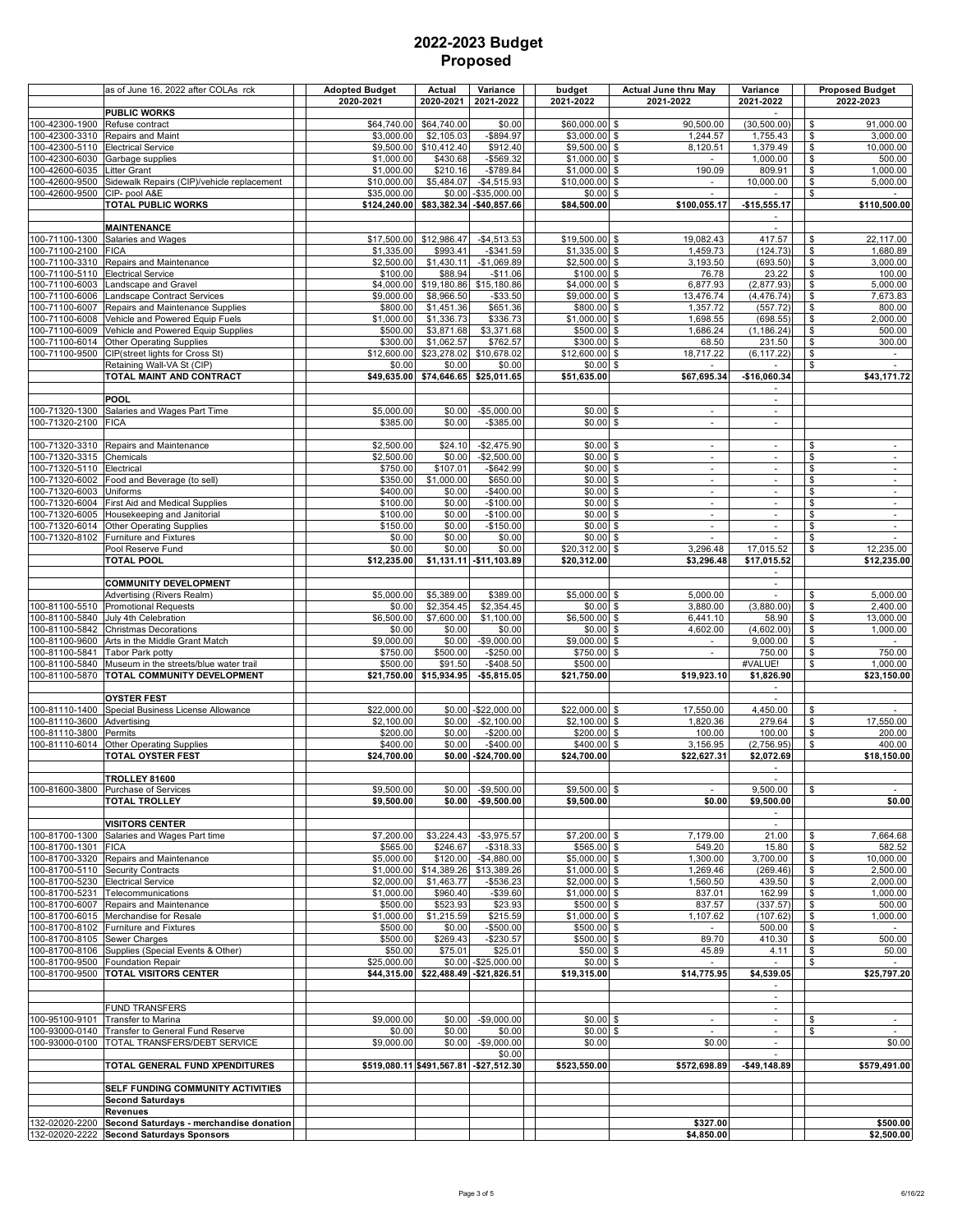|                                  | as of June 16, 2022 after COLAs rck                                 | <b>Adopted Budget</b><br>2020-2021 | Actual<br>2020-2021       | Variance<br>2021-2022                   | budget<br>2021-2022              | <b>Actual June thru May</b><br>2021-2022             | Variance<br>2021-2022                      | <b>Proposed Budget</b><br>2022-2023                               |
|----------------------------------|---------------------------------------------------------------------|------------------------------------|---------------------------|-----------------------------------------|----------------------------------|------------------------------------------------------|--------------------------------------------|-------------------------------------------------------------------|
|                                  | <b>PUBLIC WORKS</b>                                                 |                                    |                           |                                         |                                  |                                                      |                                            |                                                                   |
| 100-42300-1900<br>100-42300-3310 | Refuse contract<br>Repairs and Maint                                | \$64,740.00<br>\$3,000.00          | \$64,740.00<br>\$2,105.03 | \$0.00<br>$-$894.97$                    | \$60,000.00 \$<br>\$3,000.00 \$  | 90,500.00<br>1,244.57                                | (30, 500.00)<br>1,755.43                   | 91,000.00<br>\$<br>\$<br>3.000.00                                 |
| 100-42300-5110                   | <b>Electrical Service</b>                                           | \$9,500.00                         | \$10,412.40               | \$912.40                                | \$9,500.00 \$                    | 8,120.51                                             | 1,379.49                                   | \$<br>10,000.00                                                   |
| 100-42300-6030                   | Garbage supplies                                                    | \$1,000.00                         | \$430.68                  | $-$569.32$                              | $$1,000.00$ \$                   |                                                      | 1,000.00                                   | \$<br>500.00                                                      |
| 100-42600-6035<br>100-42600-9500 | Litter Grant<br>Sidewalk Repairs (CIP)/vehicle replacement          | \$1,000.00<br>\$10,000.00          | \$210.16<br>\$5,484.07    | $-$789.84$<br>$-$4,515.93$              | $$1,000.00$ \$<br>\$10,000.00 \$ | 190.09                                               | 809.91<br>10,000.00                        | \$<br>1,000.00<br>\$<br>5,000.00                                  |
| 100-42600-9500                   | CIP- pool A&E                                                       | \$35,000.00                        | \$0.00                    | $-$35,000.00$                           | $$0.00$ \$                       | $\overline{\phantom{a}}$                             | $\sim$                                     | \$                                                                |
|                                  | <b>TOTAL PUBLIC WORKS</b>                                           | \$124,240.00                       |                           | \$83,382.34 - \$40,857.66               | \$84,500.00                      | \$100,055.17                                         | $-$15,555.17$                              | \$110,500.00                                                      |
|                                  | <b>MAINTENANCE</b>                                                  |                                    |                           |                                         |                                  |                                                      | $\sim$<br>$\sim$                           |                                                                   |
| 100-71100-1300                   | Salaries and Wages                                                  | \$17,500.00                        | \$12,986.47               | $-$4,513.53$                            | $$19,500.00$ \$                  | 19,082.43                                            | 417.57                                     | \$<br>22,117.00                                                   |
| 100-71100-2100                   | <b>FICA</b>                                                         | \$1,335.00                         | \$993.41                  | $-$341.59$                              | $$1,335.00$ \$                   | 1,459.73                                             | (124.73)                                   | \$<br>1,680.89                                                    |
| 100-71100-3310<br>100-71100-5110 | Repairs and Maintenance<br><b>Electrical Service</b>                | \$2,500.00<br>\$100.00             | \$1,430.11<br>\$88.94     | $-$1,069.89$<br>$-$11.06$               | $$2,500.00$ \$<br>$$100.00$ \$   | 3,193.50<br>76.78                                    | (693.50)<br>23.22                          | \$<br>3,000.00<br>\$<br>100.00                                    |
| 100-71100-6003                   | Landscape and Gravel                                                | \$4.000.00                         | \$19,180.86               | \$15,180.86                             | \$4,000.00 \$                    | 6,877.93                                             | (2,877.93)                                 | \$<br>5.000.00                                                    |
| 100-71100-6006                   | Landscape Contract Services                                         | \$9.000.00                         | \$8,966.50                | $-$33.50$                               | \$9,000.00 \$                    | 13,476.74                                            | (4, 476.74)                                | \$<br>7,673.83                                                    |
| 100-71100-6007<br>100-71100-6008 | Repairs and Maintenance Supplies<br>Vehicle and Powered Equip Fuels | \$800.00<br>\$1,000.00             | \$1,451.36<br>\$1,336.73  | \$651.36<br>\$336.73                    | \$800.00 \$<br>$$1,000.00$ \$    | 1,357.72<br>1,698.55                                 | (557.72)<br>(698.55)                       | \$<br>800.00<br>\$<br>2,000.00                                    |
| 100-71100-6009                   | Vehicle and Powered Equip Supplies                                  | \$500.00                           | \$3,871.68                | \$3,371.68                              | \$500.00 \$                      | 1,686.24                                             | (1, 186.24)                                | \$<br>500.00                                                      |
| 100-71100-6014<br>100-71100-9500 | <b>Other Operating Supplies</b><br>CIP(street lights for Cross St)  | \$300.00<br>\$12,600.00            | \$1,062.57<br>\$23,278.02 | \$762.57<br>\$10,678.02                 | $$300.00$ \$<br>\$12,600.00 \$   | 68.50<br>18,717.22                                   | 231.50<br>(6, 117.22)                      | \$<br>300.00<br>\$<br>$\overline{\phantom{a}}$                    |
|                                  | Retaining Wall-VA St (CIP)                                          | \$0.00                             | \$0.00                    | \$0.00                                  | $$0.00$ \$                       |                                                      |                                            | \$                                                                |
|                                  | TOTAL MAINT AND CONTRACT                                            | \$49,635.00                        | \$74,646.65               | \$25,011.65                             | \$51,635.00                      | \$67,695.34                                          | -\$16,060.34                               | \$43,171.72                                                       |
|                                  | <b>POOL</b>                                                         |                                    |                           |                                         |                                  |                                                      | $\overline{\phantom{a}}$<br>$\sim$         |                                                                   |
| 100-71320-1300                   | Salaries and Wages Part Time                                        | \$5,000.00                         | \$0.00                    | $-$5,000.00$                            | $$0.00$ \$                       | $\overline{\phantom{a}}$                             | $\omega$                                   |                                                                   |
| 100-71320-2100                   | <b>FICA</b>                                                         | \$385.00                           | \$0.00                    | $-$ \$385.00                            | $$0.00$ \$                       | $\overline{\phantom{a}}$                             | $\overline{\phantom{a}}$                   |                                                                   |
| 100-71320-3310                   | Repairs and Maintenance                                             | \$2,500.00                         | \$24.10                   | $-$2,475.90$                            | $$0.00$ \$                       | $\overline{\phantom{a}}$                             | $\sim$                                     | \$<br>$\sim$                                                      |
| 100-71320-3315                   | Chemicals                                                           | \$2,500.00                         | \$0.00                    | $-$2,500.00$                            | $$0.00$ \$                       | $\blacksquare$                                       | $\blacksquare$                             | \$<br>$\overline{\phantom{a}}$                                    |
| 100-71320-5110                   | Electrical                                                          | \$750.00                           | \$107.01                  | $-$642.99$                              | $$0.00$ \$                       | $\overline{\phantom{a}}$                             | $\overline{\phantom{a}}$                   | \$<br>$\overline{\phantom{a}}$                                    |
| 100-71320-6002<br>100-71320-6003 | Food and Beverage (to sell)<br>Uniforms                             | \$350.00<br>\$400.00               | \$1,000.00<br>\$0.00      | \$650.00<br>$-$400.00$                  | $$0.00$ \$<br>$$0.00$ \$         | $\blacksquare$<br>$\overline{\phantom{a}}$           | $\blacksquare$<br>$\overline{\phantom{a}}$ | \$<br>$\overline{\phantom{a}}$<br>$\boldsymbol{\theta}$<br>$\sim$ |
| 100-71320-6004                   | First Aid and Medical Supplies                                      | \$100.00                           | \$0.00                    | $-$100.00$                              | $$0.00$ \$                       | $\mathcal{L}_{\mathcal{A}}$                          | $\sim$                                     | \$<br>$\sim$                                                      |
| 100-71320-6005                   | Housekeeping and Janitorial<br>Other Operating Supplies             | \$100.00<br>\$150.00               | \$0.00<br>\$0.00          | $-$100.00$<br>$-$150.00$                | $$0.00$ \$<br>$$0.00$ \$         | $\overline{\phantom{a}}$<br>$\overline{\phantom{a}}$ | $\sim$<br>$\overline{\phantom{a}}$         | \$<br>$\blacksquare$<br>\$<br>$\sim$                              |
| 100-71320-6014<br>100-71320-8102 | Furniture and Fixtures                                              | \$0.00                             | \$0.00                    | \$0.00                                  | $$0.00$ \$                       | $\blacksquare$                                       | $\blacksquare$                             | $\overline{\theta}$                                               |
|                                  | Pool Reserve Fund                                                   | \$0.00                             | \$0.00                    | \$0.00                                  | \$20,312.00 \$                   | 3,296.48                                             | 17,015.52                                  | 12,235.00<br>\$                                                   |
|                                  | <b>TOTAL POOL</b>                                                   | \$12,235.00                        |                           | $$1,131.11$ -\$11,103.89                | \$20,312.00                      | \$3,296.48                                           | \$17,015.52<br>$\sim$                      | \$12,235.00                                                       |
|                                  | <b>COMMUNITY DEVELOPMENT</b>                                        |                                    |                           |                                         |                                  |                                                      | $\blacksquare$                             |                                                                   |
|                                  | Advertising (Rivers Realm)                                          | \$5,000.00                         | \$5,389.00                | \$389.00                                | $$5,000.00$ \$                   | 5,000.00                                             | $\sim$                                     | 5,000.00<br>\$                                                    |
| 100-81100-5510<br>100-81100-5840 | <b>Promotional Requests</b><br>July 4th Celebration                 | \$0.00<br>\$6,500.00               | \$2,354.45<br>\$7,600.00  | \$2,354.45<br>\$1,100.00                | $$0.00$ \$<br>$$6,500.00$ \$     | 3,880.00<br>6,441.10                                 | (3,880.00)<br>58.90                        | \$<br>2,400.00<br>\$<br>13,000.00                                 |
| 100-81100-5842                   | <b>Christmas Decorations</b>                                        | \$0.00                             | \$0.00                    | \$0.00                                  | $$0.00$ \$                       | 4,602.00                                             | (4,602.00)                                 | \$<br>1,000.00                                                    |
| 100-81100-9600                   | Arts in the Middle Grant Match                                      | \$9,000.00                         | \$0.00                    | $-$9,000.00$                            | \$9,000.00 \$                    | $\sim$                                               | 9,000.00                                   | \$<br>$\sim$                                                      |
| 100-81100-5841<br>100-81100-5840 | Tabor Park potty<br>Museum in the streets/blue water trail          | \$750.00<br>\$500.00               | \$500.00<br>\$91.50       | $-$250.00$<br>$-$408.50$                | \$750.00 \$<br>\$500.00          | $\overline{\phantom{a}}$                             | 750.00<br>#VALUE!                          | 750.00<br>\$<br>\$<br>1,000.00                                    |
| 100-81100-5870                   | TOTAL COMMUNITY DEVELOPMENT                                         | \$21,750.00                        | \$15,934.95               | $- $5,815.05$                           | \$21,750.00                      | \$19,923.10                                          | \$1,826.90                                 | \$23,150.00                                                       |
|                                  |                                                                     |                                    |                           |                                         |                                  |                                                      | $\sim$                                     |                                                                   |
| 100-81110-1400                   | <b>OYSTER FEST</b><br>Special Business License Allowance            | \$22,000.00                        | \$0.00                    | $-$22,000.00$                           | \$22,000.00 \$                   | 17,550.00                                            | $\sim$<br>4,450.00                         | \$                                                                |
| 100-81110-3600                   | Advertisina                                                         | \$2,100.00                         | \$0.00                    | $-$2,100.00$                            | $$2,100.00$ \$                   | 1,820.36                                             | 279.64                                     | 17,550.00<br>\$                                                   |
| 100-81110-3800<br>100-81110-6014 | Permits<br><b>Other Operating Supplies</b>                          | \$200.00<br>\$400.00               | \$0.00<br>\$0.00          | $-$200.00$<br>-\$400.00                 | \$200.00 \$<br>\$400.00 \$       | 100.00<br>3,156.95                                   | 100.00<br>(2,756.95)                       | \$<br>200.00<br>400.00<br>\$                                      |
|                                  | TOTAL OYSTER FEST                                                   | \$24,700.00                        |                           | \$0.00 - \$24,700.00                    | \$24,700.00                      | \$22,627.31                                          | \$2,072.69                                 | \$18,150.00                                                       |
|                                  |                                                                     |                                    |                           |                                         |                                  |                                                      | $\overline{\phantom{a}}$                   |                                                                   |
|                                  | <b>TROLLEY 81600</b><br>100-81600-3800 Purchase of Services         | \$9,500.00                         | \$0.00                    | $-$9,500.00$                            | \$9,500.00 \$                    | $\sim$                                               | 9,500.00                                   | \$                                                                |
|                                  | <b>TOTAL TROLLEY</b>                                                | \$9,500.00                         | \$0.00                    | $-$9,500.00$                            | \$9,500.00                       | \$0.00                                               | \$9,500.00                                 | \$0.00                                                            |
|                                  |                                                                     |                                    |                           |                                         |                                  |                                                      | $\overline{\phantom{a}}$                   |                                                                   |
| 100-81700-1300                   | <b>VISITORS CENTER</b><br>Salaries and Wages Part time              | \$7,200.00                         | \$3,224.43                | $-$3,975.57$                            | \$7,200.00 \$                    | 7,179.00                                             | $\sim$<br>21.00                            | 7,664.68<br>\$                                                    |
| 100-81700-1301                   | <b>FICA</b>                                                         | \$565.00                           | \$246.67                  | $-$318.33$                              | \$565.00 \$                      | 549.20                                               | 15.80                                      | 582.52<br>\$                                                      |
| 100-81700-3320<br>100-81700-5110 | Repairs and Maintenance<br><b>Security Contracts</b>                | \$5,000.00                         | \$120.00                  | $-$4,880.00$                            | \$5,000.00 \$                    | 1,300.00                                             | 3,700.00                                   | \$<br>10,000.00                                                   |
| 100-81700-5230                   | Electrical Service                                                  | \$1,000.00<br>\$2,000.00           | \$14,389.26<br>\$1,463.77 | \$13,389.26<br>$-$536.23$               | $$1,000.00$ \$<br>$$2,000.00$ \$ | 1,269.46<br>1,560.50                                 | (269.46)<br>439.50                         | \$<br>2,500.00<br>\$<br>2,000.00                                  |
| 100-81700-5231                   | Telecommunications                                                  | \$1,000.00                         | \$960.40                  | $-$39.60$                               | $$1,000.00$ \$                   | 837.01                                               | 162.99                                     | \$<br>1,000.00                                                    |
| 100-81700-6007                   | Repairs and Maintenance<br>100-81700-6015 Merchandise for Resale    | \$500.00<br>\$1,000.00             | \$523.93<br>\$1,215.59    | \$23.93<br>\$215.59                     | \$500.00 \$<br>\$1,000.00 \$     | 837.57<br>1,107.62                                   | (337.57)<br>(107.62)                       | \$<br>500.00<br>\$<br>1,000.00                                    |
|                                  | 100-81700-8102 Furniture and Fixtures                               | \$500.00                           | \$0.00                    | $-$500.00$                              | \$500.00 \$                      | $\sim$                                               | 500.00                                     | \$                                                                |
| 100-81700-8105 Sewer Charges     |                                                                     | \$500.00                           | \$269.43                  | $-$230.57$                              | \$500.00 \$                      | 89.70                                                | 410.30                                     | \$<br>500.00                                                      |
| 100-81700-8106<br>100-81700-9500 | Supplies (Special Events & Other)<br><b>Foundation Repair</b>       | \$50.00<br>\$25,000.00             | \$75.01                   | \$25.01<br>\$0.00 - \$25,000.00         | \$50.00 \$<br>$$0.00$ \$         | 45.89                                                | 4.11                                       | \$<br>50.00<br>\$                                                 |
| 100-81700-9500                   | <b>TOTAL VISITORS CENTER</b>                                        | \$44,315.00                        |                           | \$22,488.49 - \$21,826.51               | \$19,315.00                      | \$14,775.95                                          | \$4,539.05                                 | \$25,797.20                                                       |
|                                  |                                                                     |                                    |                           |                                         |                                  |                                                      | $\sim$                                     |                                                                   |
|                                  | <b>FUND TRANSFERS</b>                                               |                                    |                           |                                         |                                  |                                                      |                                            |                                                                   |
| 100-95100-9101                   | Transfer to Marina                                                  | \$9,000.00                         | \$0.00                    | $-$9,000.00$                            | $$0.00$ \$                       | $\sim$                                               | $\sim$                                     | \$<br>$\sim$                                                      |
| 100-93000-0140<br>100-93000-0100 | Transfer to General Fund Reserve<br>TOTAL TRANSFERS/DEBT SERVICE    | \$0.00<br>\$9,000.00               | \$0.00<br>\$0.00          | \$0.00<br>$-$9,000.00$                  | $$0.00$ \$<br>\$0.00             | \$0.00                                               | $\blacksquare$<br>$\overline{\phantom{a}}$ | \$<br>\$0.00                                                      |
|                                  |                                                                     |                                    |                           | \$0.00                                  |                                  |                                                      |                                            |                                                                   |
|                                  | TOTAL GENERAL FUND XPENDITURES                                      |                                    |                           | \$519,080.11 \$491,567.81 - \$27,512.30 | \$523,550.00                     | \$572,698.89                                         | $-$49,148.89$                              | \$579,491.00                                                      |
|                                  | SELF FUNDING COMMUNITY ACTIVITIES                                   |                                    |                           |                                         |                                  |                                                      |                                            |                                                                   |
|                                  | <b>Second Saturdays</b>                                             |                                    |                           |                                         |                                  |                                                      |                                            |                                                                   |
| 132-02020-2200                   | <b>Revenues</b><br>Second Saturdays - merchandise donation          |                                    |                           |                                         |                                  | \$327.00                                             |                                            | \$500.00                                                          |
| 132-02020-2222                   | <b>Second Saturdays Sponsors</b>                                    |                                    |                           |                                         |                                  | \$4,850.00                                           |                                            | \$2,500.00                                                        |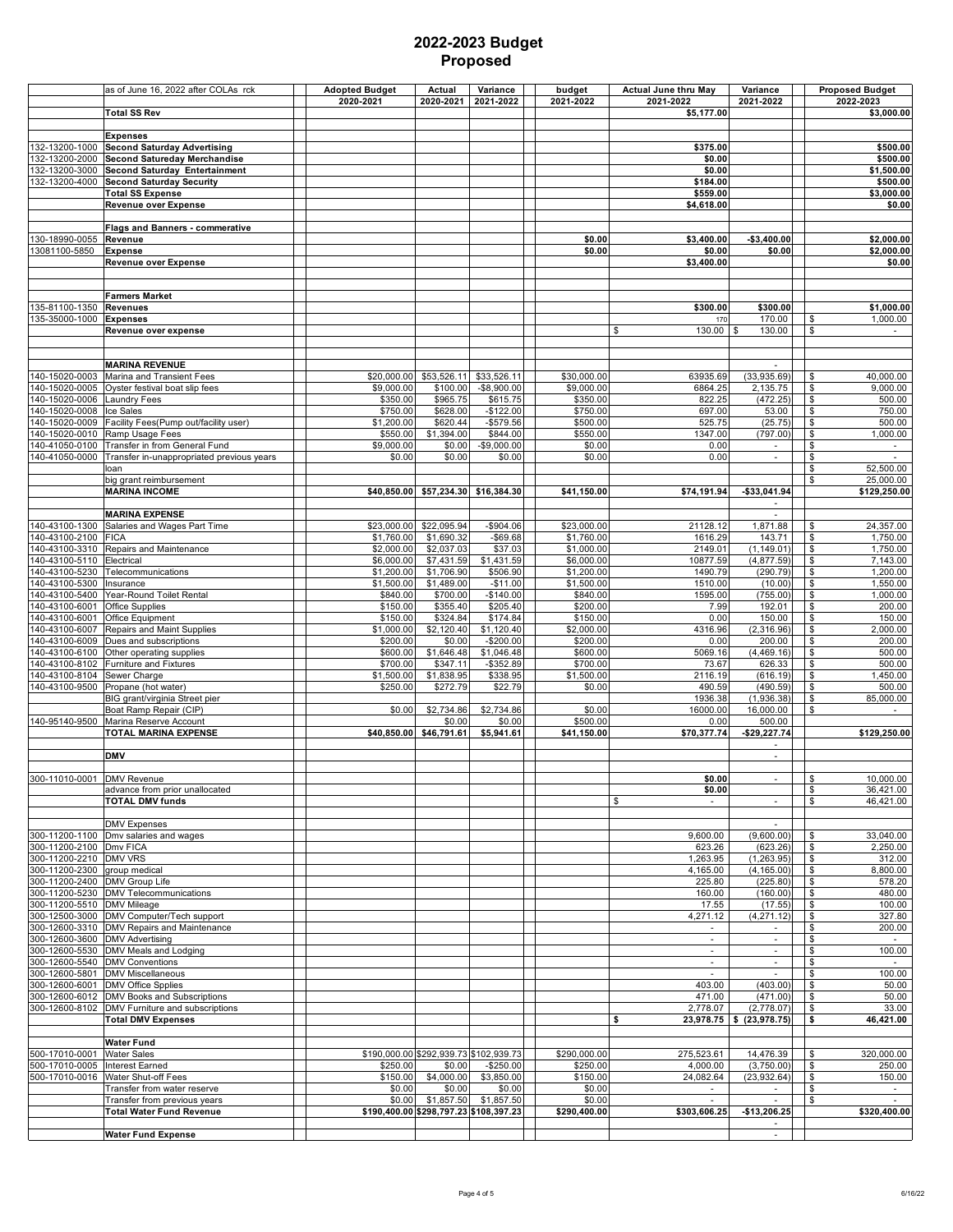|                                                  | as of June 16, 2022 after COLAs rck                                                    | <b>Adopted Budget</b><br>2020-2021 | Actual<br>2020-2021      | Variance<br>2021-2022                                | budget<br>2021-2022       | <b>Actual June thru May</b><br>2021-2022 | Variance<br>2021-2022        | <b>Proposed Budget</b><br>2022-2023                   |
|--------------------------------------------------|----------------------------------------------------------------------------------------|------------------------------------|--------------------------|------------------------------------------------------|---------------------------|------------------------------------------|------------------------------|-------------------------------------------------------|
|                                                  | Total SS Rev                                                                           |                                    |                          |                                                      |                           | \$5,177.00                               |                              | \$3,000.00                                            |
|                                                  | <b>Expenses</b>                                                                        |                                    |                          |                                                      |                           |                                          |                              |                                                       |
| 132-13200-1000                                   | <b>Second Saturday Advertising</b>                                                     |                                    |                          |                                                      |                           | \$375.00                                 |                              | \$500.00                                              |
| 132-13200-2000<br>132-13200-3000                 | <b>Second Satureday Merchandise</b><br>Second Saturday Entertainment                   |                                    |                          |                                                      |                           | \$0.00<br>\$0.00                         |                              | \$500.00<br>\$1,500.00                                |
| 132-13200-4000                                   | <b>Second Saturday Security</b>                                                        |                                    |                          |                                                      |                           | \$184.00                                 |                              | \$500.00                                              |
|                                                  | <b>Total SS Expense</b>                                                                |                                    |                          |                                                      |                           | \$559.00                                 |                              | \$3,000.00                                            |
|                                                  | <b>Revenue over Expense</b>                                                            |                                    |                          |                                                      |                           | \$4,618.00                               |                              | \$0.00                                                |
|                                                  | <b>Flags and Banners - commerative</b>                                                 |                                    |                          |                                                      |                           |                                          |                              |                                                       |
| 130-18990-0055<br>3081100-5850                   | Revenue<br><b>Expense</b>                                                              |                                    |                          |                                                      | \$0.00<br>\$0.00          | \$3,400.00<br>\$0.00                     | $-$3,400.00$<br>\$0.00       | \$2,000.00<br>\$2.000.00                              |
|                                                  | Revenue over Expense                                                                   |                                    |                          |                                                      |                           | \$3,400.00                               |                              | \$0.00                                                |
|                                                  |                                                                                        |                                    |                          |                                                      |                           |                                          |                              |                                                       |
|                                                  | <b>Farmers Market</b>                                                                  |                                    |                          |                                                      |                           |                                          |                              |                                                       |
| 135-81100-1350                                   | <b>Revenues</b>                                                                        |                                    |                          |                                                      |                           | \$300.00                                 | \$300.00                     | \$1,000.00                                            |
| 35-35000-1000                                    | <b>Expenses</b>                                                                        |                                    |                          |                                                      |                           | 170                                      | 170.00                       | 1,000.00<br>\$                                        |
|                                                  | Revenue over expense                                                                   |                                    |                          |                                                      |                           | \$<br>130.00                             | 130.00                       | \$                                                    |
|                                                  |                                                                                        |                                    |                          |                                                      |                           |                                          |                              |                                                       |
|                                                  | <b>MARINA REVENUE</b>                                                                  |                                    |                          |                                                      |                           |                                          |                              |                                                       |
| 140-15020-0003<br>140-15020-0005                 | Marina and Transient Fees<br>Oyster festival boat slip fees                            | \$20,000.00<br>\$9,000.00          | \$53,526.11<br>\$100.00  | \$33,526.11<br>$-$8,900.00$                          | \$30,000.00<br>\$9,000.00 | 63935.69<br>6864.25                      | (33,935.69)<br>2,135.75      | 40,000.00<br>\$<br>\$<br>9,000.00                     |
| 140-15020-0006                                   | <b>Laundry Fees</b>                                                                    | \$350.00                           | \$965.75                 | \$615.75                                             | \$350.00                  | 822.25                                   | (472.25)                     | \$<br>500.00                                          |
| 140-15020-0008                                   | Ice Sales                                                                              | \$750.00                           | \$628.00                 | $-$ \$122.00                                         | \$750.00                  | 697.00                                   | 53.00                        | $\overline{\theta}$<br>750.00                         |
| 140-15020-0009<br>140-15020-0010                 | Facility Fees(Pump out/facility user)<br>Ramp Usage Fees                               | \$1,200.00<br>\$550.00             | \$620.44<br>\$1,394.00   | $-$579.56$<br>\$844.00                               | \$500.00<br>\$550.00      | 525.75<br>1347.00                        | (25.75)<br>(797.00)          | \$<br>500.00<br>\$<br>1,000.00                        |
| 40-41050-0100                                    | Transfer in from General Fund                                                          | \$9,000.00                         | \$0.00                   | $-$9,000.00$                                         | \$0.00                    | 0.00                                     | $\sim$                       | \$<br>$\sim$                                          |
| 40-41050-0000                                    | Transfer in-unappropriated previous years                                              | \$0.00                             | \$0.00                   | \$0.00                                               | \$0.00                    | 0.00                                     | $\overline{\phantom{a}}$     | $\mathsf{\$}$                                         |
|                                                  | loan<br>big grant reimbursement                                                        |                                    |                          |                                                      |                           |                                          |                              | \$<br>52,500.00<br>\$<br>25,000.00                    |
|                                                  | <b>MARINA INCOME</b>                                                                   |                                    |                          | \$40,850.00 \$57,234.30 \$16,384.30                  | \$41,150.00               | \$74,191.94                              | -\$33,041.94                 | \$129,250.00                                          |
|                                                  |                                                                                        |                                    |                          |                                                      |                           |                                          | ÷                            |                                                       |
| 140-43100-1300                                   | <b>MARINA EXPENSE</b><br>Salaries and Wages Part Time                                  | \$23,000.00                        | \$22,095.94              | $-$904.06$                                           | \$23,000.00               | 21128.12                                 | $\sim$<br>1,871.88           | 24,357.00<br>\$                                       |
| 40-43100-2100                                    | <b>FICA</b>                                                                            | \$1,760.00                         | \$1,690.32               | $-$69.68$                                            | \$1,760.00                | 1616.29                                  | 143.71                       | \$<br>1,750.00                                        |
| 140-43100-3310                                   | Repairs and Maintenance                                                                | \$2,000.00                         | \$2,037.03               | \$37.03                                              | \$1,000.00                | 2149.01                                  | (1, 149.01)                  | \$<br>1,750.00                                        |
| 140-43100-5110<br>140-43100-5230                 | Electrical<br>Telecommunications                                                       | \$6,000.00<br>\$1,200.00           | \$7,431.59<br>\$1,706.90 | \$1,431.59<br>\$506.90                               | \$6,000.00<br>\$1,200.00  | 10877.59<br>1490.79                      | (4,877.59)<br>(290.79)       | $\overline{\mathbf{3}}$<br>7,143.00<br>\$<br>1,200.00 |
| 40-43100-5300                                    | Insurance                                                                              | \$1,500.00                         | \$1,489.00               | $-$11.00$                                            | \$1,500.00                | 1510.00                                  | (10.00)                      | \$<br>1,550.00                                        |
| 40-43100-5400                                    | Year-Round Toilet Rental                                                               | \$840.00                           | \$700.00                 | $-$140.00$                                           | \$840.00                  | 1595.00                                  | (755.00)                     | \$<br>1,000.00                                        |
| 40-43100-6001<br>40-43100-6001                   | <b>Office Supplies</b><br>Office Equipment                                             | \$150.00<br>\$150.00               | \$355.40<br>\$324.84     | \$205.40<br>\$174.84                                 | \$200.00<br>\$150.00      | 7.99<br>0.00                             | 192.01<br>150.00             | \$<br>200.00<br>\$<br>150.00                          |
| 140-43100-6007                                   | Repairs and Maint Supplies                                                             | \$1,000.00                         | \$2,120.40               | \$1,120.40                                           | \$2,000.00                | 4316.96                                  | (2,316.96)                   | \$<br>2,000.00                                        |
| 140-43100-6009                                   | Dues and subscriptions                                                                 | \$200.00                           | \$0.00                   | $-$200.00$                                           | \$200.00                  | 0.00                                     | 200.00                       | $\overline{\mathbf{3}}$<br>200.00                     |
| 140-43100-6100<br>40-43100-8102                  | Other operating supplies<br>Furniture and Fixtures                                     | \$600.00<br>\$700.00               | \$1,646.48<br>\$347.11   | \$1,046.48<br>$-$ \$352.89                           | \$600.00<br>\$700.00      | 5069.16<br>73.67                         | (4,469.16)<br>626.33         | \$<br>500.00<br>$\overline{\mathbf{3}}$<br>500.00     |
| 40-43100-8104                                    | Sewer Charge                                                                           | \$1,500.00                         | \$1,838.95               | \$338.95                                             | \$1,500.00                | 2116.19                                  | (616.19)                     | \$<br>1,450.00                                        |
| 40-43100-9500                                    | Propane (hot water)                                                                    | \$250.00                           | \$272.79                 | \$22.79                                              | \$0.00                    | 490.59                                   | (490.59)                     | \$<br>500.00                                          |
|                                                  | BIG grant/virginia Street pier<br>Boat Ramp Repair (CIP)                               | \$0.00                             | \$2,734.86               | \$2,734.86                                           | \$0.00                    | 1936.38<br>16000.00                      | (1,936.38)<br>16,000.00      | \$<br>85.000.00<br>\$                                 |
| 140-95140-9500                                   | Marina Reserve Account                                                                 |                                    | \$0.00                   | \$0.00                                               | \$500.00                  | 0.00                                     | 500.00                       |                                                       |
|                                                  | TOTAL MARINA EXPENSE                                                                   | \$40,850.00                        | \$46,791.61              | \$5,941.61                                           | \$41,150.00               | \$70,377.74                              | $-$29,227.74$                | \$129,250.00                                          |
|                                                  | <b>DMV</b>                                                                             |                                    |                          |                                                      |                           |                                          | $\sim$<br>$\blacksquare$     |                                                       |
|                                                  |                                                                                        |                                    |                          |                                                      |                           |                                          |                              |                                                       |
| 300-11010-0001 DMV Revenue                       |                                                                                        |                                    |                          |                                                      |                           | \$0.00                                   |                              | \$<br>10,000.00                                       |
|                                                  | advance from prior unallocated<br><b>TOTAL DMV funds</b>                               |                                    |                          |                                                      |                           | \$0.00<br>\$<br>$\sim$                   | $\sim$                       | \$<br>36,421.00<br>\$<br>46,421.00                    |
|                                                  |                                                                                        |                                    |                          |                                                      |                           |                                          |                              |                                                       |
|                                                  | <b>DMV Expenses</b>                                                                    |                                    |                          |                                                      |                           |                                          | $\sim$                       |                                                       |
| 300-11200-2100 Dmv FICA                          | 300-11200-1100 Dmv salaries and wages                                                  |                                    |                          |                                                      |                           | 9,600.00<br>623.26                       | (9,600.00)<br>(623.26)       | \$<br>33,040.00<br>2,250.00<br>\$                     |
| 300-11200-2210 DMV VRS                           |                                                                                        |                                    |                          |                                                      |                           | 1,263.95                                 | (1,263.95)                   | \$<br>312.00                                          |
| 300-11200-2300 group medical                     |                                                                                        |                                    |                          |                                                      |                           | 4,165.00                                 | (4, 165.00)                  | \$<br>8,800.00                                        |
| 300-11200-2400 DMV Group Life                    | 300-11200-5230 DMV Telecommunications                                                  |                                    |                          |                                                      |                           | 225.80<br>160.00                         | (225.80)<br>(160.00)         | \$<br>578.20<br>\$<br>480.00                          |
| 300-11200-5510 DMV Mileage                       |                                                                                        |                                    |                          |                                                      |                           | 17.55                                    | (17.55)                      | \$<br>100.00                                          |
|                                                  | 300-12500-3000 DMV Computer/Tech support<br>300-12600-3310 DMV Repairs and Maintenance |                                    |                          |                                                      |                           | 4,271.12<br>$\sim$                       | (4, 271.12)<br>$\sim$        | \$<br>327.80                                          |
| 300-12600-3600 DMV Advertising                   |                                                                                        |                                    |                          |                                                      |                           | $\sim$                                   | $\mathcal{L}_{\mathcal{A}}$  | \$<br>200.00<br>$\frac{1}{2}$<br>$\sim$               |
|                                                  | 300-12600-5530 DMV Meals and Lodging                                                   |                                    |                          |                                                      |                           | $\sim$                                   | $\sim$                       | \$<br>100.00                                          |
|                                                  | 300-12600-5540 DMV Conventions                                                         |                                    |                          |                                                      |                           | $\sim$<br>$\sim$                         | $\sim$<br>$\sim$             | $\frac{1}{2}$<br>$\sim$<br>\$                         |
|                                                  | 300-12600-5801 DMV Miscellaneous<br>300-12600-6001 DMV Office Spplies                  |                                    |                          |                                                      |                           | 403.00                                   | (403.00)                     | 100.00<br>\$<br>50.00                                 |
|                                                  | 300-12600-6012 DMV Books and Subscriptions                                             |                                    |                          |                                                      |                           | 471.00                                   | (471.00)                     | 50.00<br>\$                                           |
| 300-12600-8102                                   | DMV Furniture and subscriptions<br><b>Total DMV Expenses</b>                           |                                    |                          |                                                      |                           | 2,778.07<br>\$<br>23,978.75              | (2,778.07)<br>\$ (23,978.75) | 33.00<br>\$<br>\$<br>46,421.00                        |
|                                                  |                                                                                        |                                    |                          |                                                      |                           |                                          |                              |                                                       |
|                                                  | Water Fund                                                                             |                                    |                          |                                                      |                           |                                          |                              |                                                       |
| 500-17010-0001<br>500-17010-0005 Interest Earned | <b>Water Sales</b>                                                                     | \$250.00                           | \$0.00                   | \$190,000.00 \$292,939.73 \$102,939.73<br>$-$250.00$ | \$290,000.00<br>\$250.00  | 275,523.61<br>4,000.00                   | 14,476.39<br>(3,750.00)      | \$<br>320,000.00<br>\$<br>250.00                      |
| 500-17010-0016                                   | Water Shut-off Fees                                                                    | \$150.00                           | \$4,000.00               | \$3,850.00                                           | \$150.00                  | 24,082.64                                | (23, 932.64)                 | \$<br>150.00                                          |
|                                                  | Transfer from water reserve                                                            | \$0.00                             | \$0.00                   | \$0.00                                               | \$0.00                    | $\sim$                                   | $\sim$                       | \$<br>$\sim$                                          |
|                                                  | Transfer from previous years<br>Total Water Fund Revenue                               | \$0.00                             | \$1,857.50               | \$1,857.50<br>\$190,400.00 \$298,797.23 \$108,397.23 | \$0.00<br>\$290,400.00    | $\sim$<br>\$303,606.25                   | $\sim$<br>$-$13,206.25$      | \$<br>$\sim$<br>\$320,400.00                          |
|                                                  |                                                                                        |                                    |                          |                                                      |                           |                                          |                              |                                                       |
|                                                  | <b>Water Fund Expense</b>                                                              |                                    |                          |                                                      |                           |                                          | $\sim$                       |                                                       |